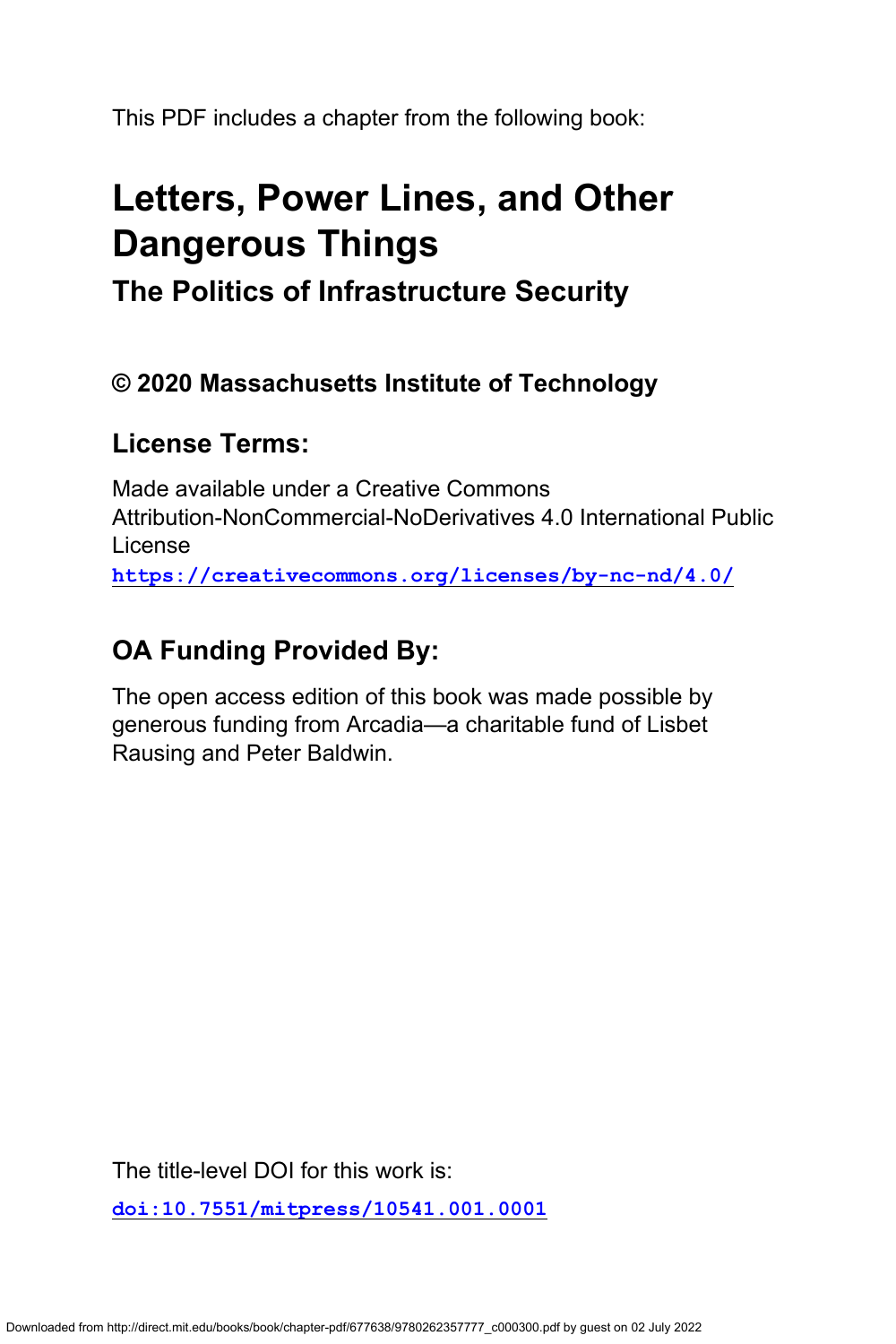This PDF includes a chapter from the following book:

# **Letters, Power Lines, and Other Dangerous Things**

### **The Politics of Infrastructure Security**

### **© 2020 Massachusetts Institute of Technology**

### **License Terms:**

Made available under a Creative Commons Attribution-NonCommercial-NoDerivatives 4.0 International Public License **<https://creativecommons.org/licenses/by-nc-nd/4.0/>**

### **OA Funding Provided By:**

The open access edition of this book was made possible by generous funding from Arcadia—a charitable fund of Lisbet Rausing and Peter Baldwin.

The title-level DOI for this work is:

**[doi:10.7551/mitpress/10541.001.0001](https://doi.org/10.7551/mitpress/10541.001.0001)**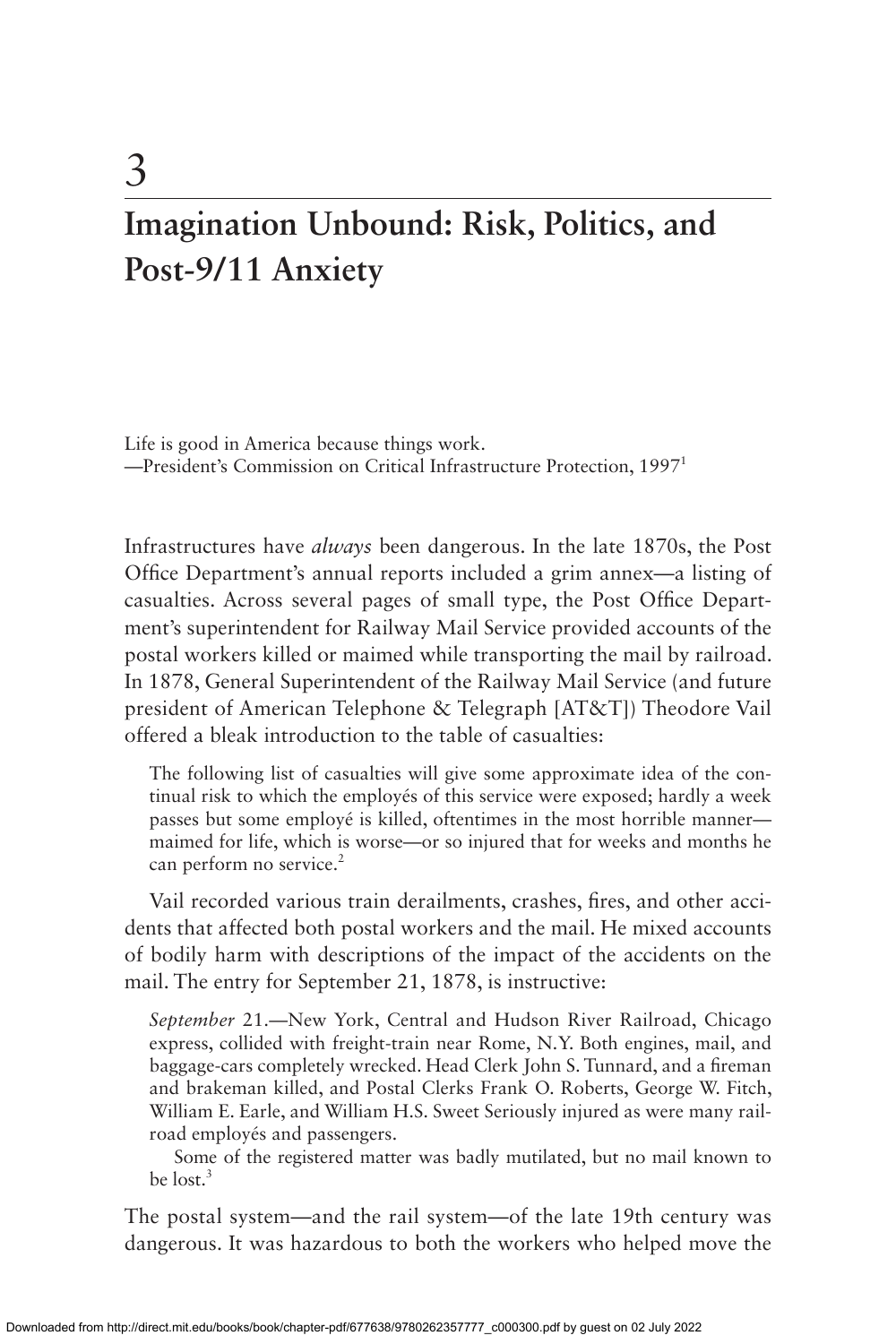## 3 **Imagination Unbound: Risk, Politics, and Post-9/11 Anxiety**

Life is good in America because things work.  $-$ President's Commission on Critical Infrastructure Protection, 1997<sup>1</sup>

Infrastructures have *always* been dangerous. In the late 1870s, the Post Office Department's annual reports included a grim annex—a listing of casualties. Across several pages of small type, the Post Office Department's superintendent for Railway Mail Service provided accounts of the postal workers killed or maimed while transporting the mail by railroad. In 1878, General Superintendent of the Railway Mail Service (and future president of American Telephone & Telegraph [AT&T]) Theodore Vail offered a bleak introduction to the table of casualties:

The following list of casualties will give some approximate idea of the continual risk to which the employés of this service were exposed; hardly a week passes but some employé is killed, oftentimes in the most horrible manner maimed for life, which is worse—or so injured that for weeks and months he can perform no service.<sup>2</sup>

Vail recorded various train derailments, crashes, fires, and other accidents that affected both postal workers and the mail. He mixed accounts of bodily harm with descriptions of the impact of the accidents on the mail. The entry for September 21, 1878, is instructive:

*September* 21.—New York, Central and Hudson River Railroad, Chicago express, collided with freight-train near Rome, N.Y. Both engines, mail, and baggage-cars completely wrecked. Head Clerk John S. Tunnard, and a fireman and brakeman killed, and Postal Clerks Frank O. Roberts, George W. Fitch, William E. Earle, and William H.S. Sweet Seriously injured as were many railroad employés and passengers.

Some of the registered matter was badly mutilated, but no mail known to be  $\mathrm{lost.}^3$ 

The postal system—and the rail system—of the late 19th century was dangerous. It was hazardous to both the workers who helped move the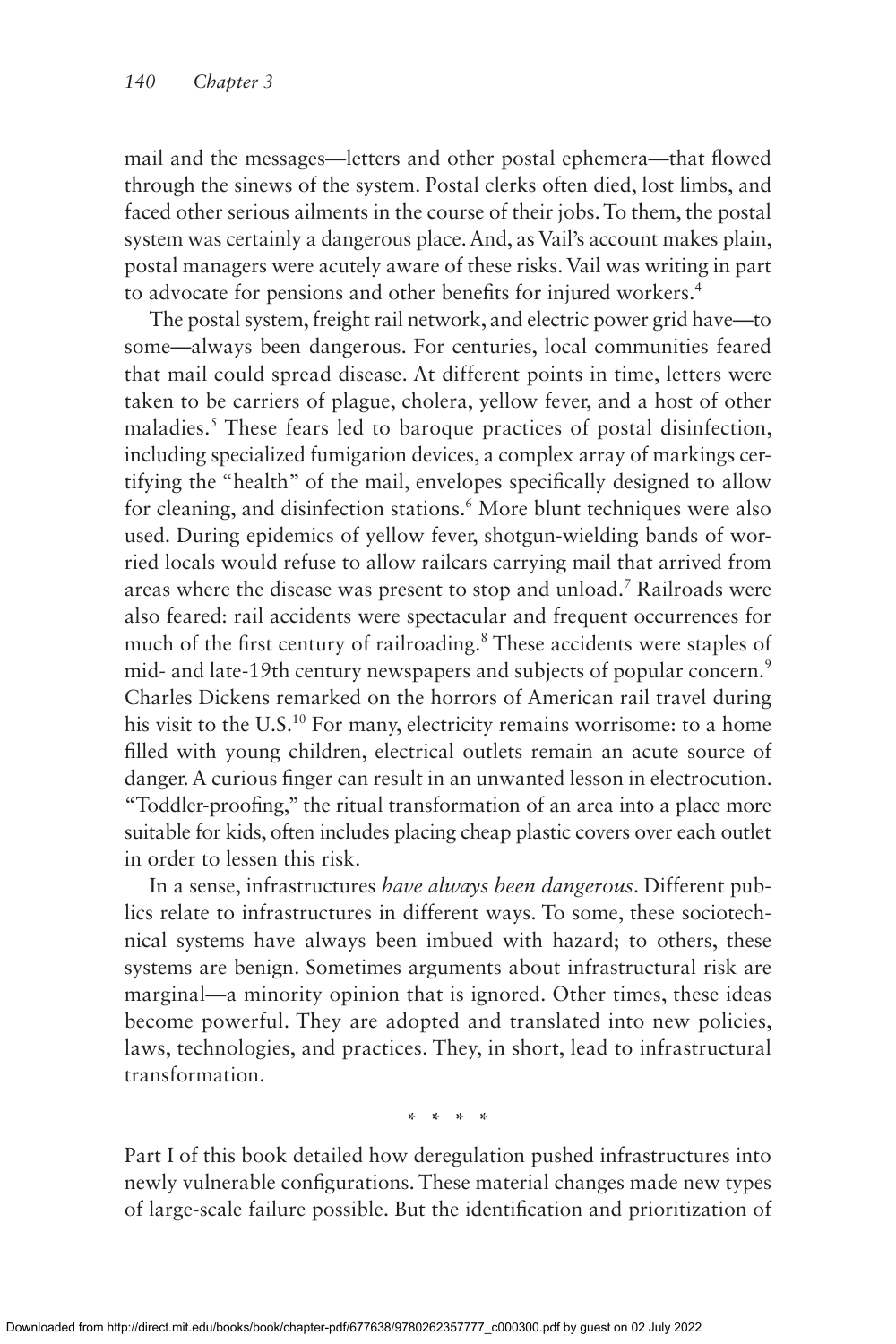mail and the messages—letters and other postal ephemera—that flowed through the sinews of the system. Postal clerks often died, lost limbs, and faced other serious ailments in the course of their jobs. To them, the postal system was certainly a dangerous place. And, as Vail's account makes plain, postal managers were acutely aware of these risks. Vail was writing in part to advocate for pensions and other benefits for injured workers.4

The postal system, freight rail network, and electric power grid have—to some—always been dangerous. For centuries, local communities feared that mail could spread disease. At different points in time, letters were taken to be carriers of plague, cholera, yellow fever, and a host of other maladies.<sup>5</sup> These fears led to baroque practices of postal disinfection, including specialized fumigation devices, a complex array of markings certifying the "health" of the mail, envelopes specifically designed to allow for cleaning, and disinfection stations.<sup>6</sup> More blunt techniques were also used. During epidemics of yellow fever, shotgun-wielding bands of worried locals would refuse to allow railcars carrying mail that arrived from areas where the disease was present to stop and unload.<sup>7</sup> Railroads were also feared: rail accidents were spectacular and frequent occurrences for much of the first century of railroading.<sup>8</sup> These accidents were staples of mid- and late-19th century newspapers and subjects of popular concern.<sup>9</sup> Charles Dickens remarked on the horrors of American rail travel during his visit to the U.S.<sup>10</sup> For many, electricity remains worrisome: to a home filled with young children, electrical outlets remain an acute source of danger. A curious finger can result in an unwanted lesson in electrocution. "Toddler-proofing," the ritual transformation of an area into a place more suitable for kids, often includes placing cheap plastic covers over each outlet in order to lessen this risk.

In a sense, infrastructures *have always been dangerous*. Different publics relate to infrastructures in different ways. To some, these sociotechnical systems have always been imbued with hazard; to others, these systems are benign. Sometimes arguments about infrastructural risk are marginal—a minority opinion that is ignored. Other times, these ideas become powerful. They are adopted and translated into new policies, laws, technologies, and practices. They, in short, lead to infrastructural transformation.

\*\*\*\*

Part I of this book detailed how deregulation pushed infrastructures into newly vulnerable configurations. These material changes made new types of large-scale failure possible. But the identification and prioritization of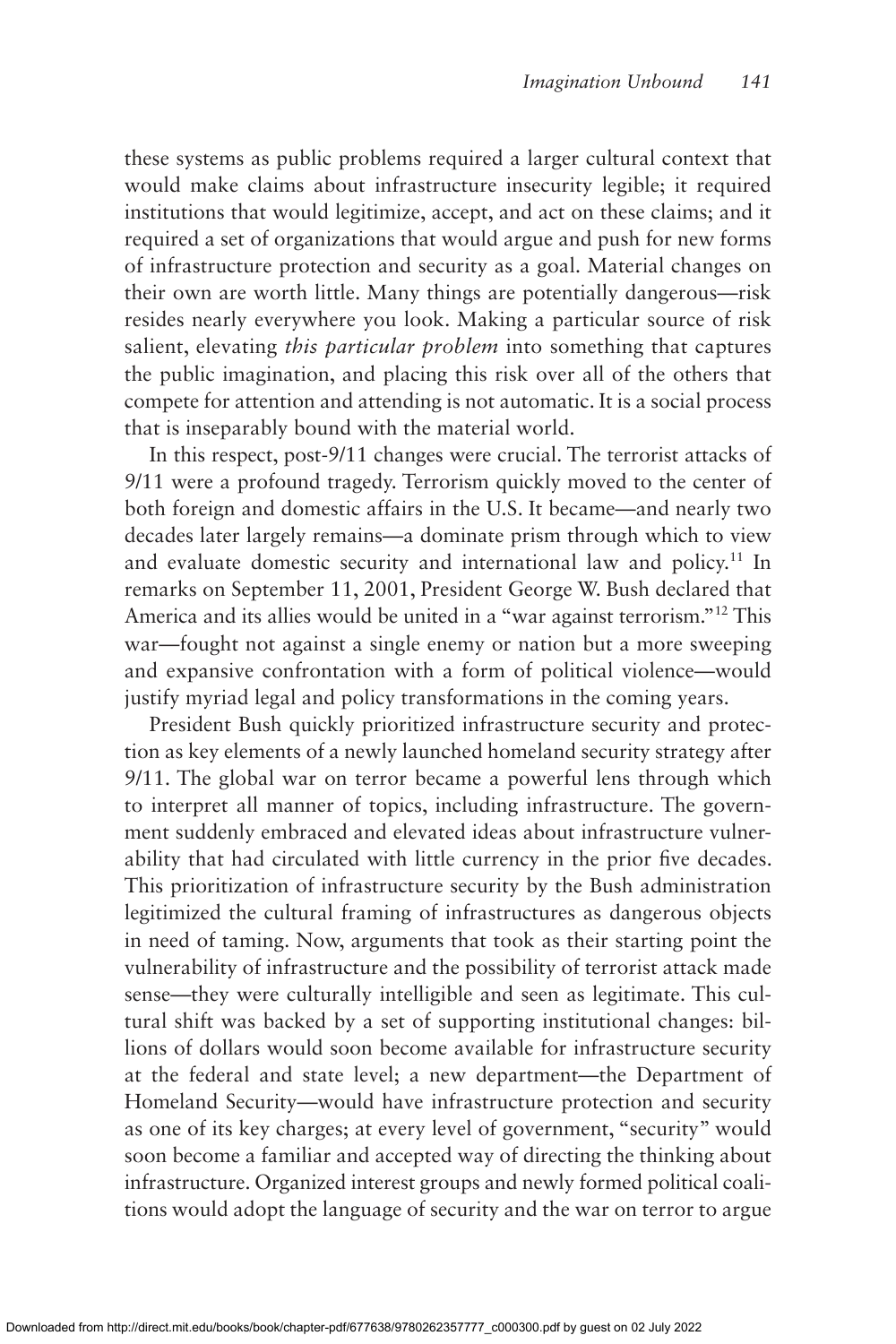these systems as public problems required a larger cultural context that would make claims about infrastructure insecurity legible; it required institutions that would legitimize, accept, and act on these claims; and it required a set of organizations that would argue and push for new forms of infrastructure protection and security as a goal. Material changes on their own are worth little. Many things are potentially dangerous—risk resides nearly everywhere you look. Making a particular source of risk salient, elevating *this particular problem* into something that captures the public imagination, and placing this risk over all of the others that compete for attention and attending is not automatic. It is a social process that is inseparably bound with the material world.

In this respect, post-9/11 changes were crucial. The terrorist attacks of 9/11 were a profound tragedy. Terrorism quickly moved to the center of both foreign and domestic affairs in the U.S. It became—and nearly two decades later largely remains—a dominate prism through which to view and evaluate domestic security and international law and policy.<sup>11</sup> In remarks on September 11, 2001, President George W. Bush declared that America and its allies would be united in a "war against terrorism."12 This war—fought not against a single enemy or nation but a more sweeping and expansive confrontation with a form of political violence—would justify myriad legal and policy transformations in the coming years.

President Bush quickly prioritized infrastructure security and protection as key elements of a newly launched homeland security strategy after 9/11. The global war on terror became a powerful lens through which to interpret all manner of topics, including infrastructure. The government suddenly embraced and elevated ideas about infrastructure vulnerability that had circulated with little currency in the prior five decades. This prioritization of infrastructure security by the Bush administration legitimized the cultural framing of infrastructures as dangerous objects in need of taming. Now, arguments that took as their starting point the vulnerability of infrastructure and the possibility of terrorist attack made sense—they were culturally intelligible and seen as legitimate. This cultural shift was backed by a set of supporting institutional changes: billions of dollars would soon become available for infrastructure security at the federal and state level; a new department—the Department of Homeland Security—would have infrastructure protection and security as one of its key charges; at every level of government, "security" would soon become a familiar and accepted way of directing the thinking about infrastructure. Organized interest groups and newly formed political coalitions would adopt the language of security and the war on terror to argue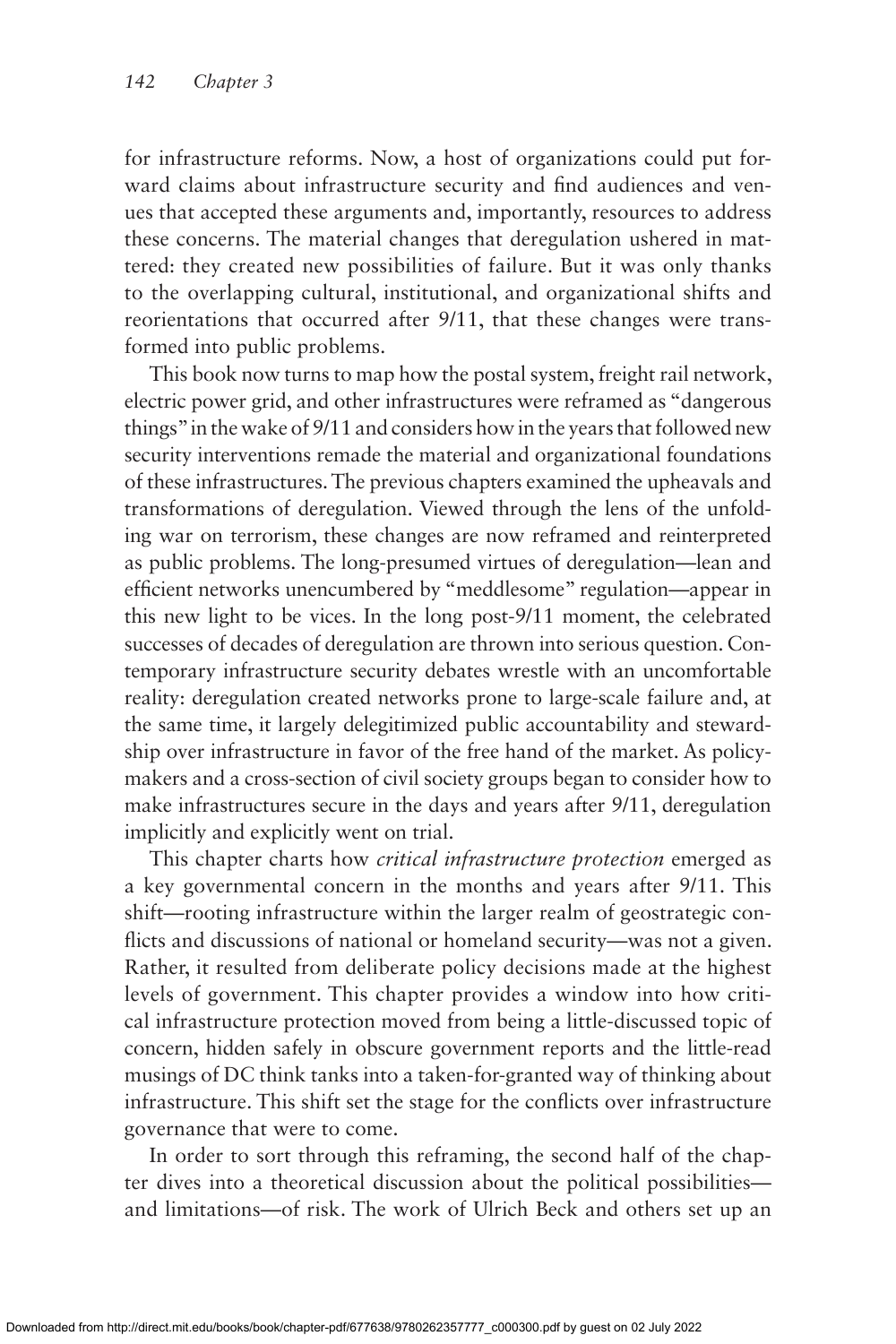for infrastructure reforms. Now, a host of organizations could put forward claims about infrastructure security and find audiences and venues that accepted these arguments and, importantly, resources to address these concerns. The material changes that deregulation ushered in mattered: they created new possibilities of failure. But it was only thanks to the overlapping cultural, institutional, and organizational shifts and reorientations that occurred after 9/11, that these changes were transformed into public problems.

This book now turns to map how the postal system, freight rail network, electric power grid, and other infrastructures were reframed as "dangerous things" in the wake of 9/11 and considers how in the years that followed new security interventions remade the material and organizational foundations of these infrastructures. The previous chapters examined the upheavals and transformations of deregulation. Viewed through the lens of the unfolding war on terrorism, these changes are now reframed and reinterpreted as public problems. The long-presumed virtues of deregulation—lean and efficient networks unencumbered by "meddlesome" regulation—appear in this new light to be vices. In the long post-9/11 moment, the celebrated successes of decades of deregulation are thrown into serious question. Contemporary infrastructure security debates wrestle with an uncomfortable reality: deregulation created networks prone to large-scale failure and, at the same time, it largely delegitimized public accountability and stewardship over infrastructure in favor of the free hand of the market. As policymakers and a cross-section of civil society groups began to consider how to make infrastructures secure in the days and years after 9/11, deregulation implicitly and explicitly went on trial.

This chapter charts how *critical infrastructure protection* emerged as a key governmental concern in the months and years after 9/11. This shift—rooting infrastructure within the larger realm of geostrategic conflicts and discussions of national or homeland security—was not a given. Rather, it resulted from deliberate policy decisions made at the highest levels of government. This chapter provides a window into how critical infrastructure protection moved from being a little-discussed topic of concern, hidden safely in obscure government reports and the little-read musings of DC think tanks into a taken-for-granted way of thinking about infrastructure. This shift set the stage for the conflicts over infrastructure governance that were to come.

In order to sort through this reframing, the second half of the chapter dives into a theoretical discussion about the political possibilities and limitations—of risk. The work of Ulrich Beck and others set up an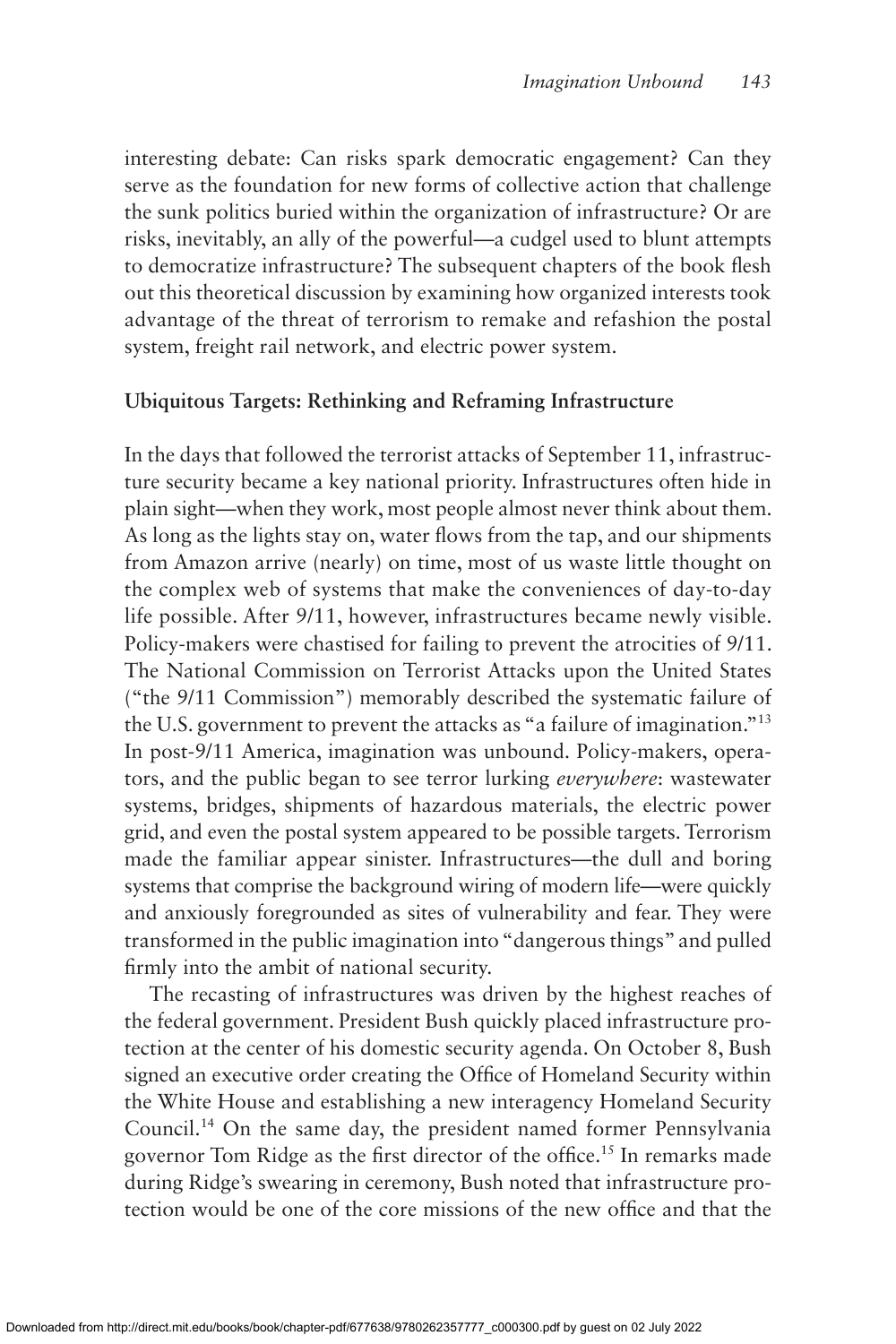interesting debate: Can risks spark democratic engagement? Can they serve as the foundation for new forms of collective action that challenge the sunk politics buried within the organization of infrastructure? Or are risks, inevitably, an ally of the powerful—a cudgel used to blunt attempts to democratize infrastructure? The subsequent chapters of the book flesh out this theoretical discussion by examining how organized interests took advantage of the threat of terrorism to remake and refashion the postal system, freight rail network, and electric power system.

#### **Ubiquitous Targets: Rethinking and Reframing Infrastructure**

In the days that followed the terrorist attacks of September 11, infrastructure security became a key national priority. Infrastructures often hide in plain sight—when they work, most people almost never think about them. As long as the lights stay on, water flows from the tap, and our shipments from Amazon arrive (nearly) on time, most of us waste little thought on the complex web of systems that make the conveniences of day-to-day life possible. After 9/11, however, infrastructures became newly visible. Policy-makers were chastised for failing to prevent the atrocities of 9/11. The National Commission on Terrorist Attacks upon the United States ("the 9/11 Commission") memorably described the systematic failure of the U.S. government to prevent the attacks as "a failure of imagination."13 In post-9/11 America, imagination was unbound. Policy-makers, operators, and the public began to see terror lurking *everywhere*: wastewater systems, bridges, shipments of hazardous materials, the electric power grid, and even the postal system appeared to be possible targets. Terrorism made the familiar appear sinister. Infrastructures—the dull and boring systems that comprise the background wiring of modern life—were quickly and anxiously foregrounded as sites of vulnerability and fear. They were transformed in the public imagination into "dangerous things" and pulled firmly into the ambit of national security.

The recasting of infrastructures was driven by the highest reaches of the federal government. President Bush quickly placed infrastructure protection at the center of his domestic security agenda. On October 8, Bush signed an executive order creating the Office of Homeland Security within the White House and establishing a new interagency Homeland Security Council.14 On the same day, the president named former Pennsylvania governor Tom Ridge as the first director of the office.15 In remarks made during Ridge's swearing in ceremony, Bush noted that infrastructure protection would be one of the core missions of the new office and that the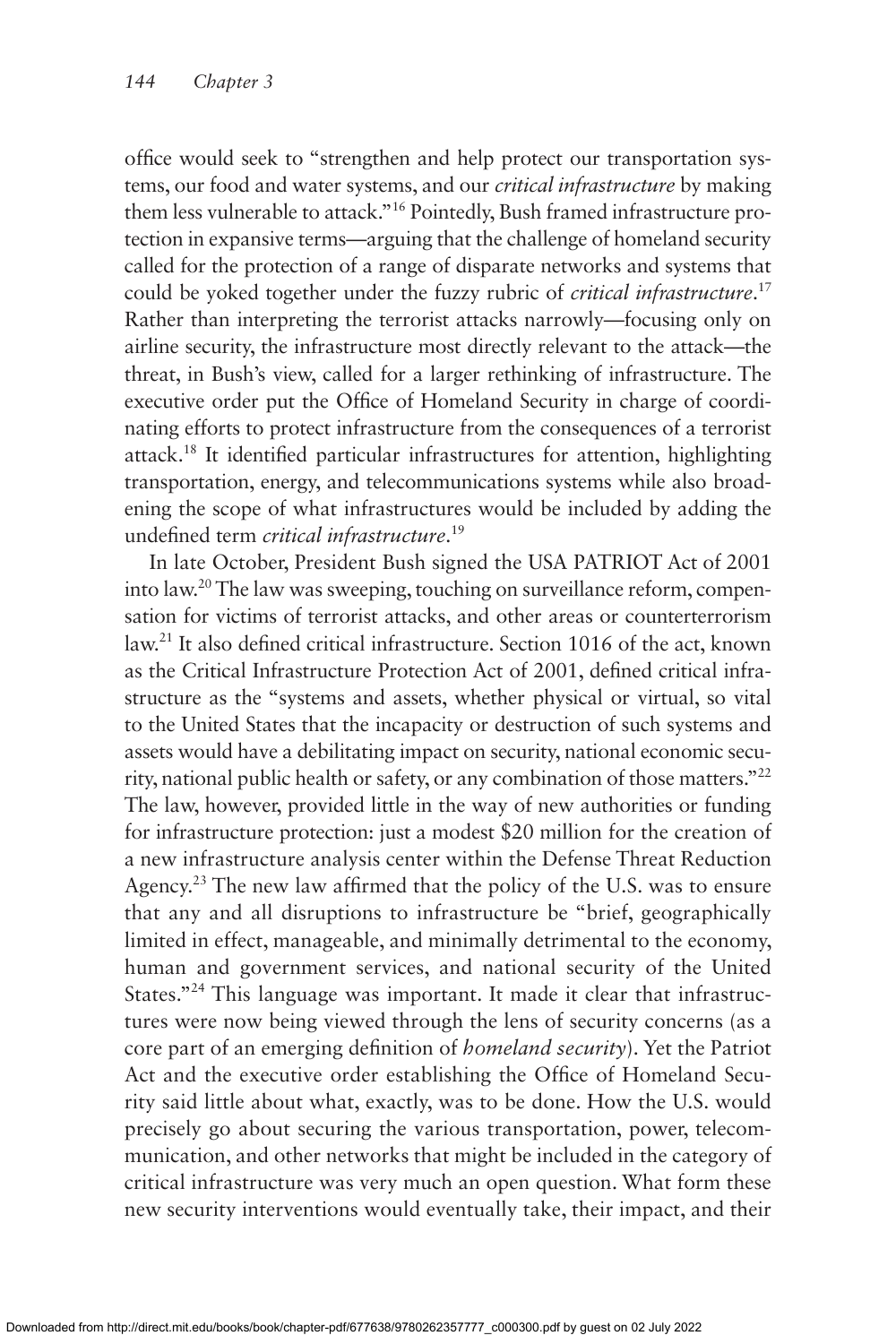office would seek to "strengthen and help protect our transportation systems, our food and water systems, and our *critical infrastructure* by making them less vulnerable to attack."16 Pointedly, Bush framed infrastructure protection in expansive terms—arguing that the challenge of homeland security called for the protection of a range of disparate networks and systems that could be yoked together under the fuzzy rubric of *critical infrastructure*. 17 Rather than interpreting the terrorist attacks narrowly—focusing only on airline security, the infrastructure most directly relevant to the attack—the threat, in Bush's view, called for a larger rethinking of infrastructure. The executive order put the Office of Homeland Security in charge of coordinating efforts to protect infrastructure from the consequences of a terrorist attack.18 It identified particular infrastructures for attention, highlighting transportation, energy, and telecommunications systems while also broadening the scope of what infrastructures would be included by adding the undefined term *critical infrastructure*. 19

In late October, President Bush signed the USA PATRIOT Act of 2001 into law.20 The law was sweeping, touching on surveillance reform, compensation for victims of terrorist attacks, and other areas or counterterrorism law.21 It also defined critical infrastructure. Section 1016 of the act, known as the Critical Infrastructure Protection Act of 2001, defined critical infrastructure as the "systems and assets, whether physical or virtual, so vital to the United States that the incapacity or destruction of such systems and assets would have a debilitating impact on security, national economic security, national public health or safety, or any combination of those matters."22 The law, however, provided little in the way of new authorities or funding for infrastructure protection: just a modest \$20 million for the creation of a new infrastructure analysis center within the Defense Threat Reduction Agency.<sup>23</sup> The new law affirmed that the policy of the U.S. was to ensure that any and all disruptions to infrastructure be "brief, geographically limited in effect, manageable, and minimally detrimental to the economy, human and government services, and national security of the United States."<sup>24</sup> This language was important. It made it clear that infrastructures were now being viewed through the lens of security concerns (as a core part of an emerging definition of *homeland security*). Yet the Patriot Act and the executive order establishing the Office of Homeland Security said little about what, exactly, was to be done. How the U.S. would precisely go about securing the various transportation, power, telecommunication, and other networks that might be included in the category of critical infrastructure was very much an open question. What form these new security interventions would eventually take, their impact, and their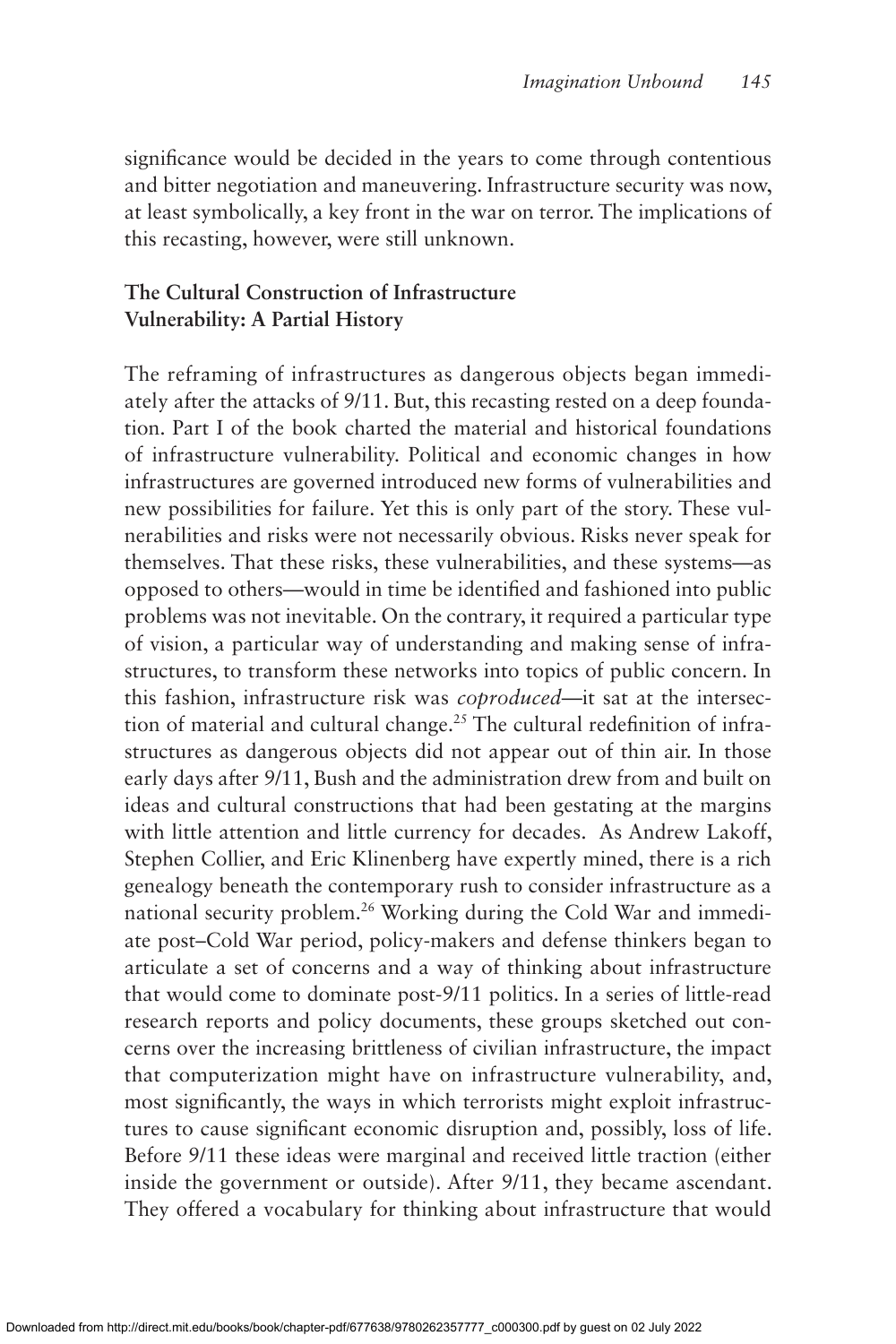significance would be decided in the years to come through contentious and bitter negotiation and maneuvering. Infrastructure security was now, at least symbolically, a key front in the war on terror. The implications of this recasting, however, were still unknown.

#### **The Cultural Construction of Infrastructure Vulnerability: A Partial History**

The reframing of infrastructures as dangerous objects began immediately after the attacks of 9/11. But, this recasting rested on a deep foundation. Part I of the book charted the material and historical foundations of infrastructure vulnerability. Political and economic changes in how infrastructures are governed introduced new forms of vulnerabilities and new possibilities for failure. Yet this is only part of the story. These vulnerabilities and risks were not necessarily obvious. Risks never speak for themselves. That these risks, these vulnerabilities, and these systems—as opposed to others—would in time be identified and fashioned into public problems was not inevitable. On the contrary, it required a particular type of vision, a particular way of understanding and making sense of infrastructures, to transform these networks into topics of public concern. In this fashion, infrastructure risk was *coproduced*—it sat at the intersection of material and cultural change.<sup>25</sup> The cultural redefinition of infrastructures as dangerous objects did not appear out of thin air. In those early days after 9/11, Bush and the administration drew from and built on ideas and cultural constructions that had been gestating at the margins with little attention and little currency for decades. As Andrew Lakoff, Stephen Collier, and Eric Klinenberg have expertly mined, there is a rich genealogy beneath the contemporary rush to consider infrastructure as a national security problem.26 Working during the Cold War and immediate post–Cold War period, policy-makers and defense thinkers began to articulate a set of concerns and a way of thinking about infrastructure that would come to dominate post-9/11 politics. In a series of little-read research reports and policy documents, these groups sketched out concerns over the increasing brittleness of civilian infrastructure, the impact that computerization might have on infrastructure vulnerability, and, most significantly, the ways in which terrorists might exploit infrastructures to cause significant economic disruption and, possibly, loss of life. Before 9/11 these ideas were marginal and received little traction (either inside the government or outside). After 9/11, they became ascendant. They offered a vocabulary for thinking about infrastructure that would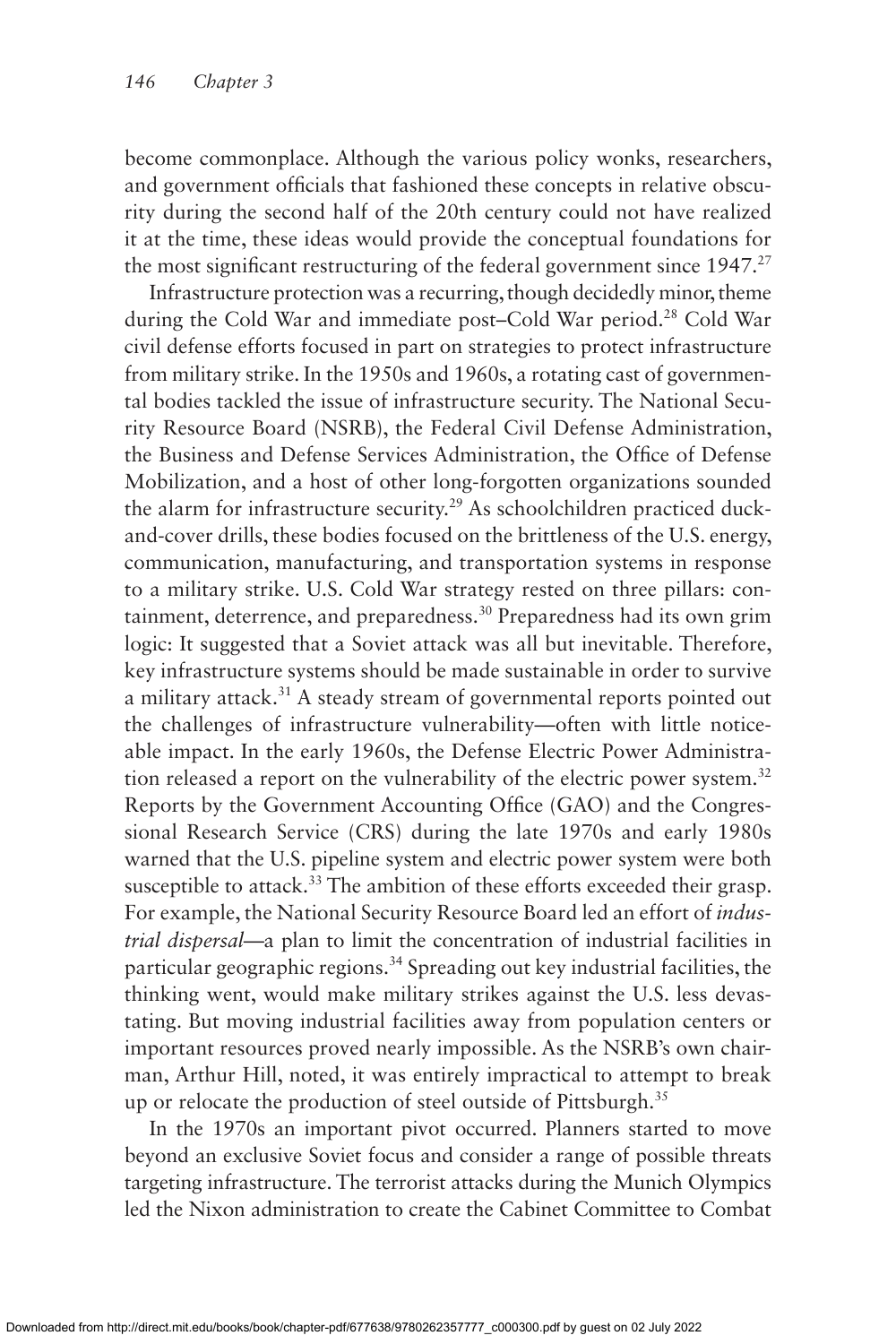become commonplace. Although the various policy wonks, researchers, and government officials that fashioned these concepts in relative obscurity during the second half of the 20th century could not have realized it at the time, these ideas would provide the conceptual foundations for the most significant restructuring of the federal government since 1947.<sup>27</sup>

Infrastructure protection was a recurring, though decidedly minor, theme during the Cold War and immediate post-Cold War period.<sup>28</sup> Cold War civil defense efforts focused in part on strategies to protect infrastructure from military strike. In the 1950s and 1960s, a rotating cast of governmental bodies tackled the issue of infrastructure security. The National Security Resource Board (NSRB), the Federal Civil Defense Administration, the Business and Defense Services Administration, the Office of Defense Mobilization, and a host of other long-forgotten organizations sounded the alarm for infrastructure security.<sup>29</sup> As schoolchildren practiced duckand-cover drills, these bodies focused on the brittleness of the U.S. energy, communication, manufacturing, and transportation systems in response to a military strike. U.S. Cold War strategy rested on three pillars: containment, deterrence, and preparedness.<sup>30</sup> Preparedness had its own grim logic: It suggested that a Soviet attack was all but inevitable. Therefore, key infrastructure systems should be made sustainable in order to survive a military attack.31 A steady stream of governmental reports pointed out the challenges of infrastructure vulnerability—often with little noticeable impact. In the early 1960s, the Defense Electric Power Administration released a report on the vulnerability of the electric power system.<sup>32</sup> Reports by the Government Accounting Office (GAO) and the Congressional Research Service (CRS) during the late 1970s and early 1980s warned that the U.S. pipeline system and electric power system were both susceptible to attack.<sup>33</sup> The ambition of these efforts exceeded their grasp. For example, the National Security Resource Board led an effort of *industrial dispersal*—a plan to limit the concentration of industrial facilities in particular geographic regions.<sup>34</sup> Spreading out key industrial facilities, the thinking went, would make military strikes against the U.S. less devastating. But moving industrial facilities away from population centers or important resources proved nearly impossible. As the NSRB's own chairman, Arthur Hill, noted, it was entirely impractical to attempt to break up or relocate the production of steel outside of Pittsburgh.<sup>35</sup>

In the 1970s an important pivot occurred. Planners started to move beyond an exclusive Soviet focus and consider a range of possible threats targeting infrastructure. The terrorist attacks during the Munich Olympics led the Nixon administration to create the Cabinet Committee to Combat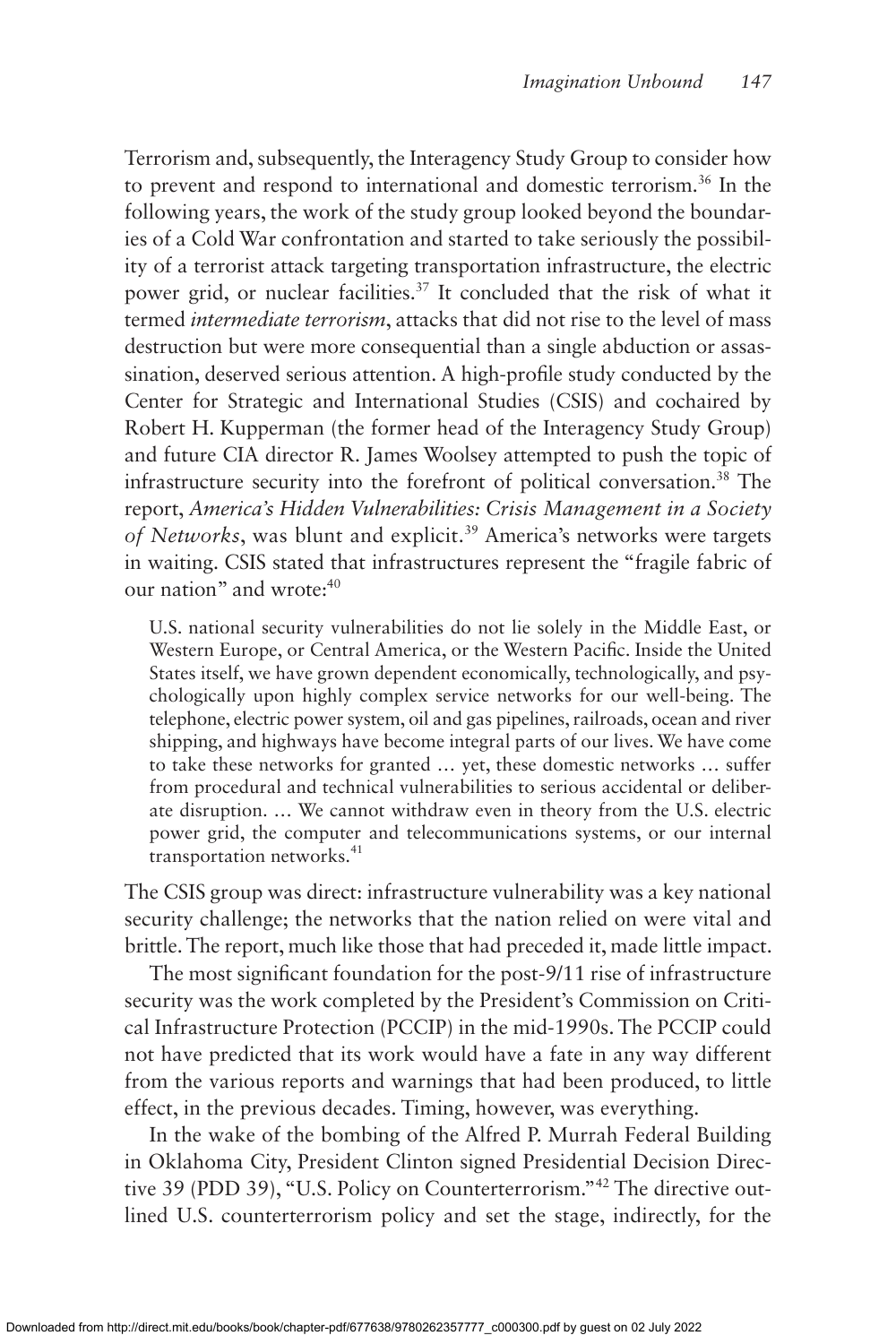Terrorism and, subsequently, the Interagency Study Group to consider how to prevent and respond to international and domestic terrorism.<sup>36</sup> In the following years, the work of the study group looked beyond the boundaries of a Cold War confrontation and started to take seriously the possibility of a terrorist attack targeting transportation infrastructure, the electric power grid, or nuclear facilities.<sup>37</sup> It concluded that the risk of what it termed *intermediate terrorism*, attacks that did not rise to the level of mass destruction but were more consequential than a single abduction or assassination, deserved serious attention. A high-profile study conducted by the Center for Strategic and International Studies (CSIS) and cochaired by Robert H. Kupperman (the former head of the Interagency Study Group) and future CIA director R. James Woolsey attempted to push the topic of infrastructure security into the forefront of political conversation.<sup>38</sup> The report, *America's Hidden Vulnerabilities: Crisis Management in a Society of Networks*, was blunt and explicit.39 America's networks were targets in waiting. CSIS stated that infrastructures represent the "fragile fabric of our nation" and wrote:<sup>40</sup>

U.S. national security vulnerabilities do not lie solely in the Middle East, or Western Europe, or Central America, or the Western Pacific. Inside the United States itself, we have grown dependent economically, technologically, and psychologically upon highly complex service networks for our well-being. The telephone, electric power system, oil and gas pipelines, railroads, ocean and river shipping, and highways have become integral parts of our lives. We have come to take these networks for granted … yet, these domestic networks … suffer from procedural and technical vulnerabilities to serious accidental or deliberate disruption. … We cannot withdraw even in theory from the U.S. electric power grid, the computer and telecommunications systems, or our internal transportation networks.<sup>41</sup>

The CSIS group was direct: infrastructure vulnerability was a key national security challenge; the networks that the nation relied on were vital and brittle. The report, much like those that had preceded it, made little impact.

The most significant foundation for the post-9/11 rise of infrastructure security was the work completed by the President's Commission on Critical Infrastructure Protection (PCCIP) in the mid-1990s. The PCCIP could not have predicted that its work would have a fate in any way different from the various reports and warnings that had been produced, to little effect, in the previous decades. Timing, however, was everything.

In the wake of the bombing of the Alfred P. Murrah Federal Building in Oklahoma City, President Clinton signed Presidential Decision Directive 39 (PDD 39), "U.S. Policy on Counterterrorism."42 The directive outlined U.S. counterterrorism policy and set the stage, indirectly, for the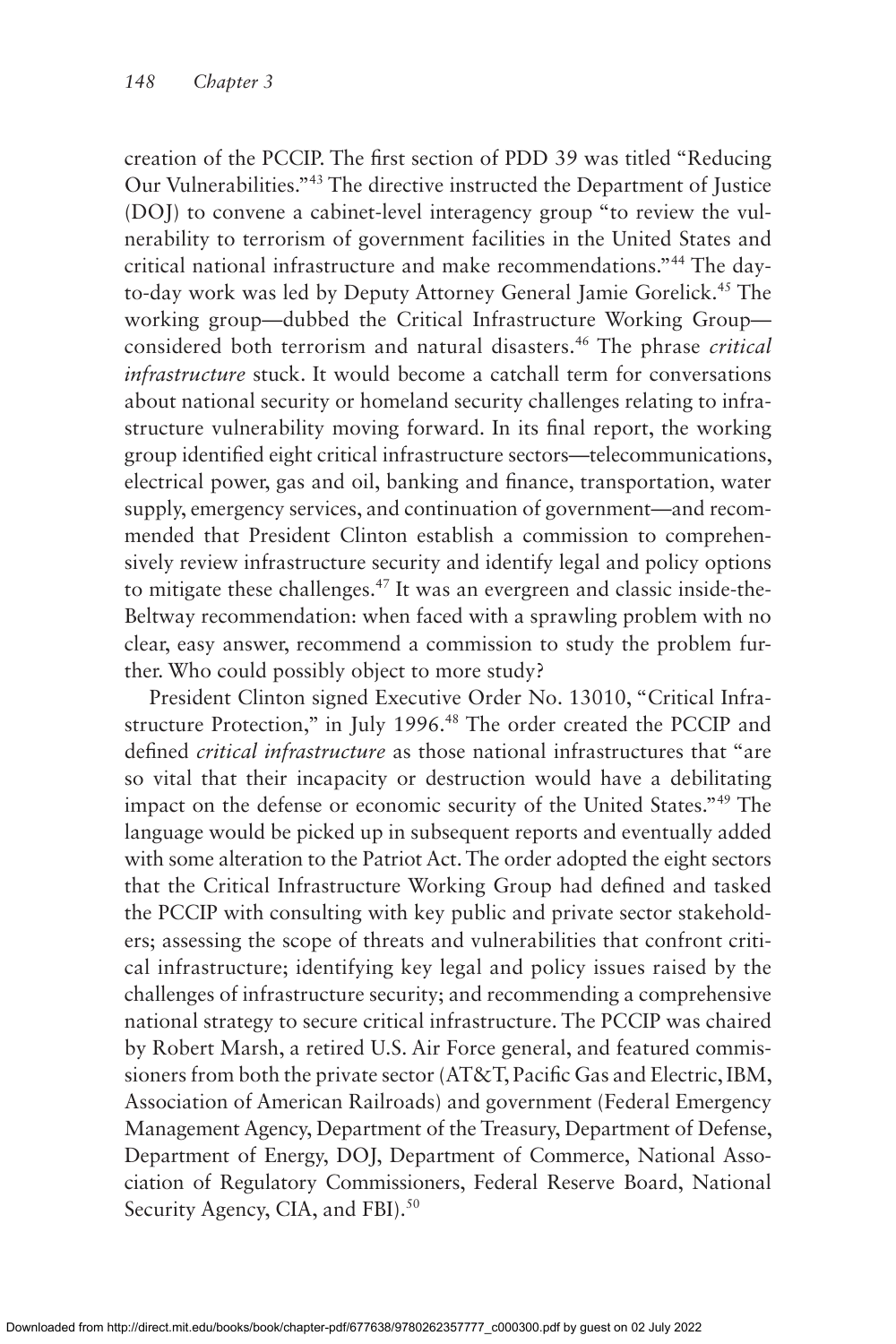creation of the PCCIP. The first section of PDD 39 was titled "Reducing Our Vulnerabilities."43 The directive instructed the Department of Justice (DOJ) to convene a cabinet-level interagency group "to review the vulnerability to terrorism of government facilities in the United States and critical national infrastructure and make recommendations."44 The dayto-day work was led by Deputy Attorney General Jamie Gorelick.<sup>45</sup> The working group—dubbed the Critical Infrastructure Working Group considered both terrorism and natural disasters.46 The phrase *critical infrastructure* stuck. It would become a catchall term for conversations about national security or homeland security challenges relating to infrastructure vulnerability moving forward. In its final report, the working group identified eight critical infrastructure sectors—telecommunications, electrical power, gas and oil, banking and finance, transportation, water supply, emergency services, and continuation of government—and recommended that President Clinton establish a commission to comprehensively review infrastructure security and identify legal and policy options to mitigate these challenges.<sup>47</sup> It was an evergreen and classic inside-the-Beltway recommendation: when faced with a sprawling problem with no clear, easy answer, recommend a commission to study the problem further. Who could possibly object to more study?

President Clinton signed Executive Order No. 13010, "Critical Infrastructure Protection," in July 1996.48 The order created the PCCIP and defined *critical infrastructure* as those national infrastructures that "are so vital that their incapacity or destruction would have a debilitating impact on the defense or economic security of the United States."49 The language would be picked up in subsequent reports and eventually added with some alteration to the Patriot Act. The order adopted the eight sectors that the Critical Infrastructure Working Group had defined and tasked the PCCIP with consulting with key public and private sector stakeholders; assessing the scope of threats and vulnerabilities that confront critical infrastructure; identifying key legal and policy issues raised by the challenges of infrastructure security; and recommending a comprehensive national strategy to secure critical infrastructure. The PCCIP was chaired by Robert Marsh, a retired U.S. Air Force general, and featured commissioners from both the private sector (AT&T, Pacific Gas and Electric, IBM, Association of American Railroads) and government (Federal Emergency Management Agency, Department of the Treasury, Department of Defense, Department of Energy, DOJ, Department of Commerce, National Association of Regulatory Commissioners, Federal Reserve Board, National Security Agency, CIA, and FBI).<sup>50</sup>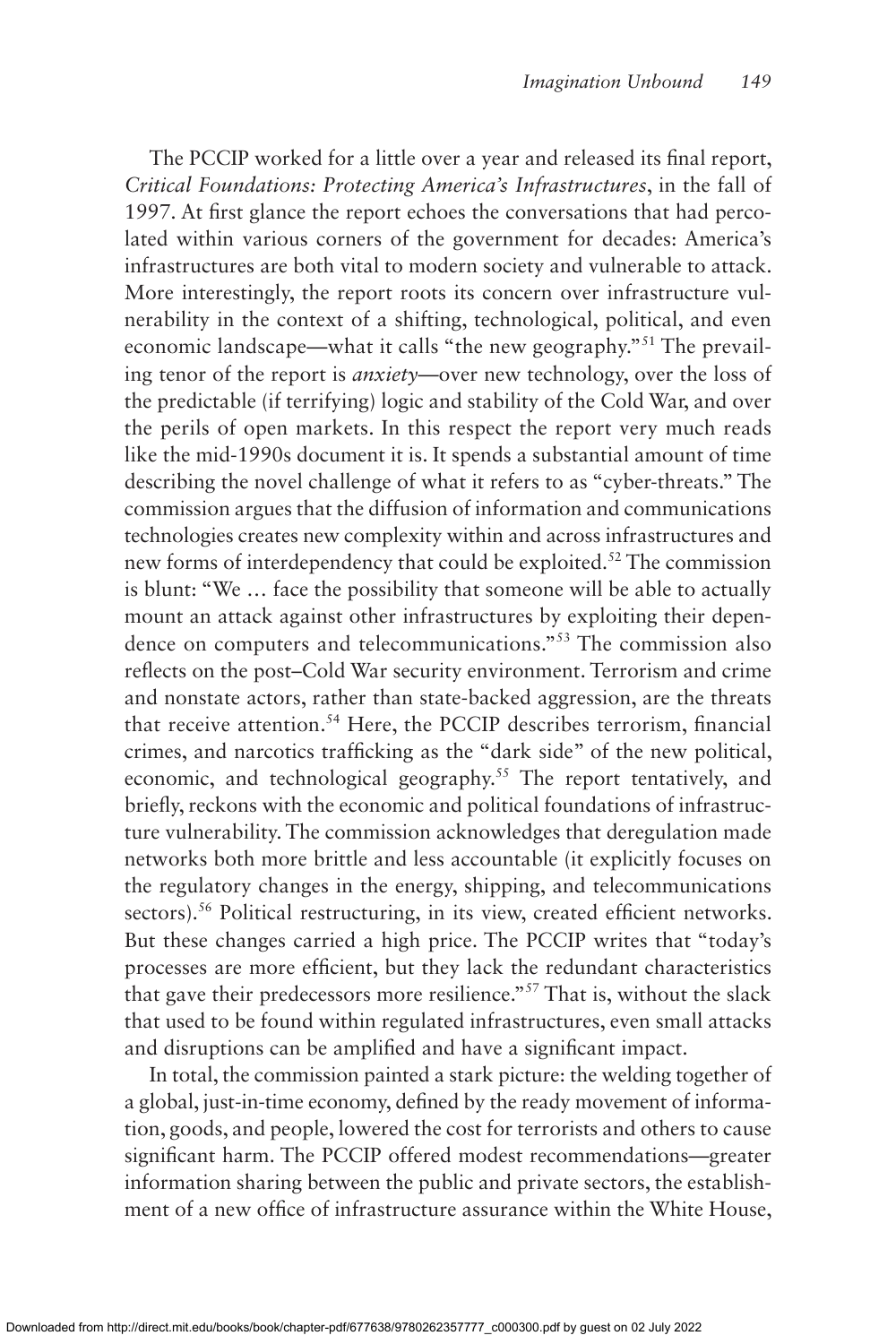The PCCIP worked for a little over a year and released its final report, *Critical Foundations: Protecting America's Infrastructures*, in the fall of 1997. At first glance the report echoes the conversations that had percolated within various corners of the government for decades: America's infrastructures are both vital to modern society and vulnerable to attack. More interestingly, the report roots its concern over infrastructure vulnerability in the context of a shifting, technological, political, and even economic landscape—what it calls "the new geography."51 The prevailing tenor of the report is *anxiety*—over new technology, over the loss of the predictable (if terrifying) logic and stability of the Cold War, and over the perils of open markets. In this respect the report very much reads like the mid-1990s document it is. It spends a substantial amount of time describing the novel challenge of what it refers to as "cyber-threats." The commission argues that the diffusion of information and communications technologies creates new complexity within and across infrastructures and new forms of interdependency that could be exploited.<sup>52</sup> The commission is blunt: "We … face the possibility that someone will be able to actually mount an attack against other infrastructures by exploiting their dependence on computers and telecommunications."53 The commission also reflects on the post–Cold War security environment. Terrorism and crime and nonstate actors, rather than state-backed aggression, are the threats that receive attention.54 Here, the PCCIP describes terrorism, financial crimes, and narcotics trafficking as the "dark side" of the new political, economic, and technological geography.<sup>55</sup> The report tentatively, and briefly, reckons with the economic and political foundations of infrastructure vulnerability. The commission acknowledges that deregulation made networks both more brittle and less accountable (it explicitly focuses on the regulatory changes in the energy, shipping, and telecommunications sectors).<sup>56</sup> Political restructuring, in its view, created efficient networks. But these changes carried a high price. The PCCIP writes that "today's processes are more efficient, but they lack the redundant characteristics that gave their predecessors more resilience."57 That is, without the slack that used to be found within regulated infrastructures, even small attacks and disruptions can be amplified and have a significant impact.

In total, the commission painted a stark picture: the welding together of a global, just-in-time economy, defined by the ready movement of information, goods, and people, lowered the cost for terrorists and others to cause significant harm. The PCCIP offered modest recommendations—greater information sharing between the public and private sectors, the establishment of a new office of infrastructure assurance within the White House,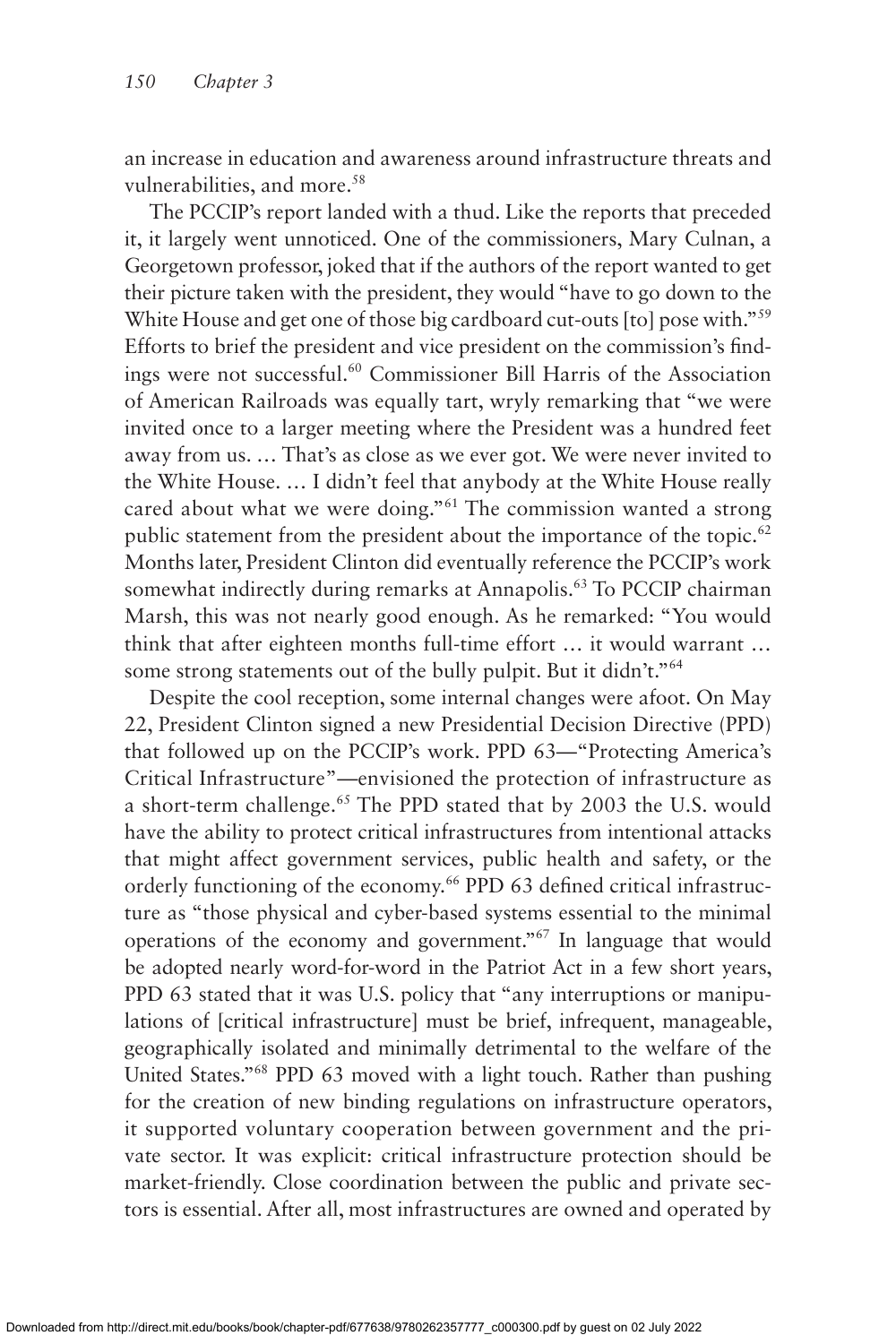an increase in education and awareness around infrastructure threats and vulnerabilities, and more.<sup>58</sup>

The PCCIP's report landed with a thud. Like the reports that preceded it, it largely went unnoticed. One of the commissioners, Mary Culnan, a Georgetown professor, joked that if the authors of the report wanted to get their picture taken with the president, they would "have to go down to the White House and get one of those big cardboard cut-outs [to] pose with."<sup>59</sup> Efforts to brief the president and vice president on the commission's findings were not successful.60 Commissioner Bill Harris of the Association of American Railroads was equally tart, wryly remarking that "we were invited once to a larger meeting where the President was a hundred feet away from us. … That's as close as we ever got. We were never invited to the White House. … I didn't feel that anybody at the White House really cared about what we were doing."61 The commission wanted a strong public statement from the president about the importance of the topic. $62$ Months later, President Clinton did eventually reference the PCCIP's work somewhat indirectly during remarks at Annapolis.<sup>63</sup> To PCCIP chairman Marsh, this was not nearly good enough. As he remarked: "You would think that after eighteen months full-time effort … it would warrant … some strong statements out of the bully pulpit. But it didn't."<sup>64</sup>

Despite the cool reception, some internal changes were afoot. On May 22, President Clinton signed a new Presidential Decision Directive (PPD) that followed up on the PCCIP's work. PPD 63—"Protecting America's Critical Infrastructure"—envisioned the protection of infrastructure as a short-term challenge.<sup>65</sup> The PPD stated that by 2003 the U.S. would have the ability to protect critical infrastructures from intentional attacks that might affect government services, public health and safety, or the orderly functioning of the economy.<sup>66</sup> PPD 63 defined critical infrastructure as "those physical and cyber-based systems essential to the minimal operations of the economy and government."67 In language that would be adopted nearly word-for-word in the Patriot Act in a few short years, PPD 63 stated that it was U.S. policy that "any interruptions or manipulations of [critical infrastructure] must be brief, infrequent, manageable, geographically isolated and minimally detrimental to the welfare of the United States."68 PPD 63 moved with a light touch. Rather than pushing for the creation of new binding regulations on infrastructure operators, it supported voluntary cooperation between government and the private sector. It was explicit: critical infrastructure protection should be market-friendly. Close coordination between the public and private sectors is essential. After all, most infrastructures are owned and operated by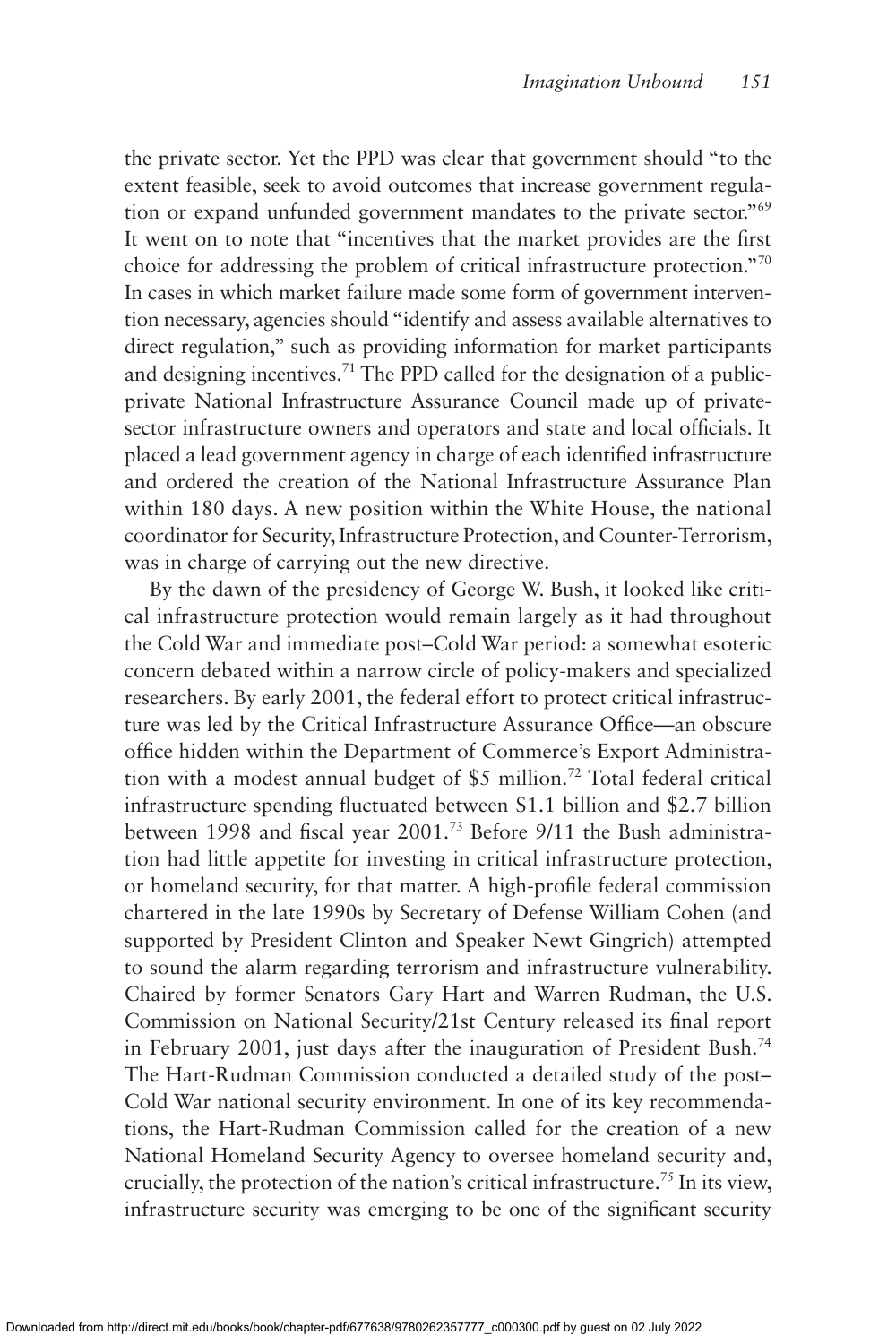the private sector. Yet the PPD was clear that government should "to the extent feasible, seek to avoid outcomes that increase government regulation or expand unfunded government mandates to the private sector."69 It went on to note that "incentives that the market provides are the first choice for addressing the problem of critical infrastructure protection."70 In cases in which market failure made some form of government intervention necessary, agencies should "identify and assess available alternatives to direct regulation," such as providing information for market participants and designing incentives.<sup>71</sup> The PPD called for the designation of a publicprivate National Infrastructure Assurance Council made up of privatesector infrastructure owners and operators and state and local officials. It placed a lead government agency in charge of each identified infrastructure and ordered the creation of the National Infrastructure Assurance Plan within 180 days. A new position within the White House, the national coordinator for Security, Infrastructure Protection, and Counter-Terrorism, was in charge of carrying out the new directive.

By the dawn of the presidency of George W. Bush, it looked like critical infrastructure protection would remain largely as it had throughout the Cold War and immediate post–Cold War period: a somewhat esoteric concern debated within a narrow circle of policy-makers and specialized researchers. By early 2001, the federal effort to protect critical infrastructure was led by the Critical Infrastructure Assurance Office—an obscure office hidden within the Department of Commerce's Export Administration with a modest annual budget of \$5 million.<sup>72</sup> Total federal critical infrastructure spending fluctuated between \$1.1 billion and \$2.7 billion between 1998 and fiscal year 2001.73 Before 9/11 the Bush administration had little appetite for investing in critical infrastructure protection, or homeland security, for that matter. A high-profile federal commission chartered in the late 1990s by Secretary of Defense William Cohen (and supported by President Clinton and Speaker Newt Gingrich) attempted to sound the alarm regarding terrorism and infrastructure vulnerability. Chaired by former Senators Gary Hart and Warren Rudman, the U.S. Commission on National Security/21st Century released its final report in February 2001, just days after the inauguration of President Bush.<sup>74</sup> The Hart-Rudman Commission conducted a detailed study of the post– Cold War national security environment. In one of its key recommendations, the Hart-Rudman Commission called for the creation of a new National Homeland Security Agency to oversee homeland security and, crucially, the protection of the nation's critical infrastructure.<sup>75</sup> In its view, infrastructure security was emerging to be one of the significant security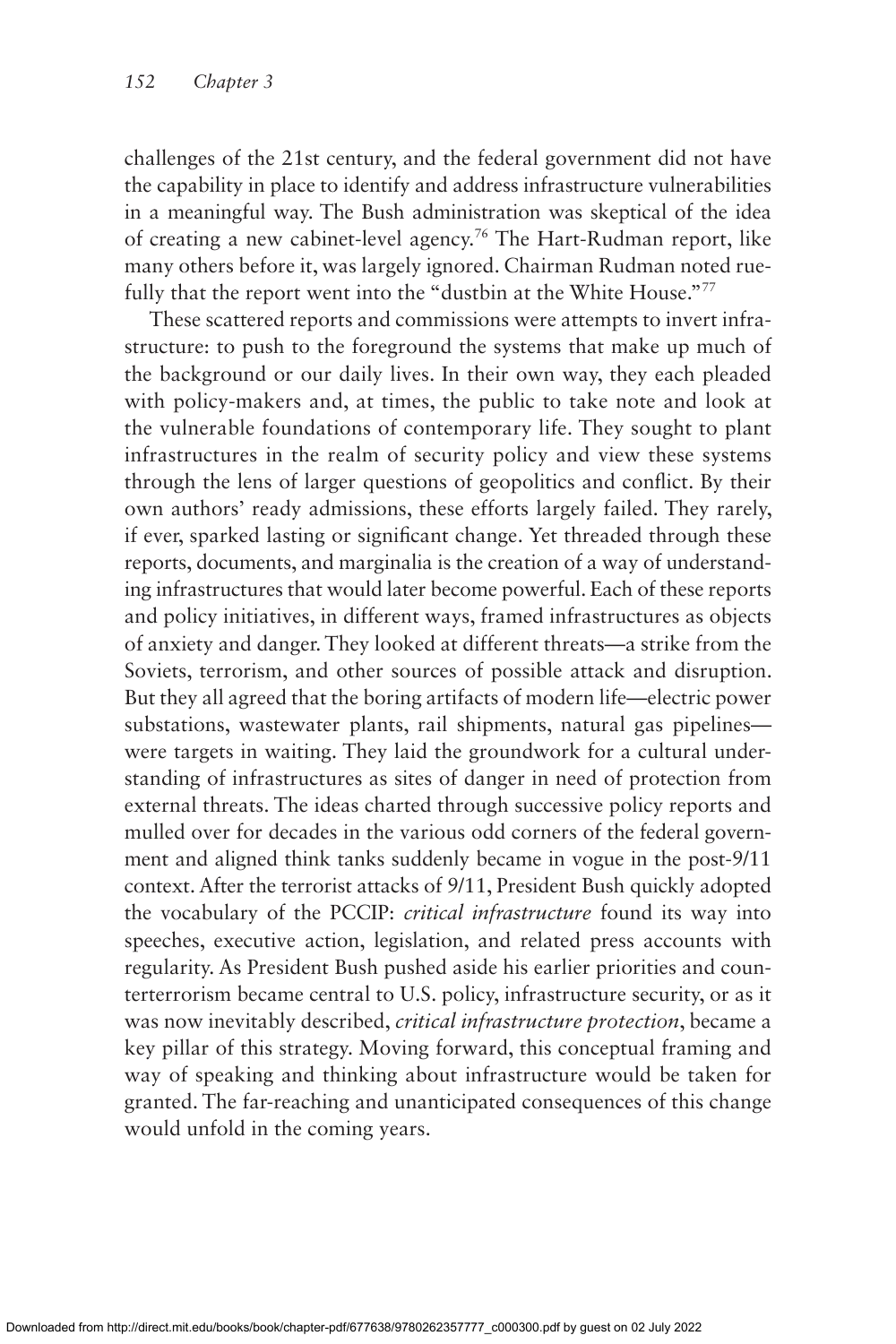challenges of the 21st century, and the federal government did not have the capability in place to identify and address infrastructure vulnerabilities in a meaningful way. The Bush administration was skeptical of the idea of creating a new cabinet-level agency.76 The Hart-Rudman report, like many others before it, was largely ignored. Chairman Rudman noted ruefully that the report went into the "dustbin at the White House."<sup>77</sup>

These scattered reports and commissions were attempts to invert infrastructure: to push to the foreground the systems that make up much of the background or our daily lives. In their own way, they each pleaded with policy-makers and, at times, the public to take note and look at the vulnerable foundations of contemporary life. They sought to plant infrastructures in the realm of security policy and view these systems through the lens of larger questions of geopolitics and conflict. By their own authors' ready admissions, these efforts largely failed. They rarely, if ever, sparked lasting or significant change. Yet threaded through these reports, documents, and marginalia is the creation of a way of understanding infrastructures that would later become powerful. Each of these reports and policy initiatives, in different ways, framed infrastructures as objects of anxiety and danger. They looked at different threats—a strike from the Soviets, terrorism, and other sources of possible attack and disruption. But they all agreed that the boring artifacts of modern life—electric power substations, wastewater plants, rail shipments, natural gas pipelines were targets in waiting. They laid the groundwork for a cultural understanding of infrastructures as sites of danger in need of protection from external threats. The ideas charted through successive policy reports and mulled over for decades in the various odd corners of the federal government and aligned think tanks suddenly became in vogue in the post-9/11 context. After the terrorist attacks of 9/11, President Bush quickly adopted the vocabulary of the PCCIP: *critical infrastructure* found its way into speeches, executive action, legislation, and related press accounts with regularity. As President Bush pushed aside his earlier priorities and counterterrorism became central to U.S. policy, infrastructure security, or as it was now inevitably described, *critical infrastructure protection*, became a key pillar of this strategy. Moving forward, this conceptual framing and way of speaking and thinking about infrastructure would be taken for granted. The far-reaching and unanticipated consequences of this change would unfold in the coming years.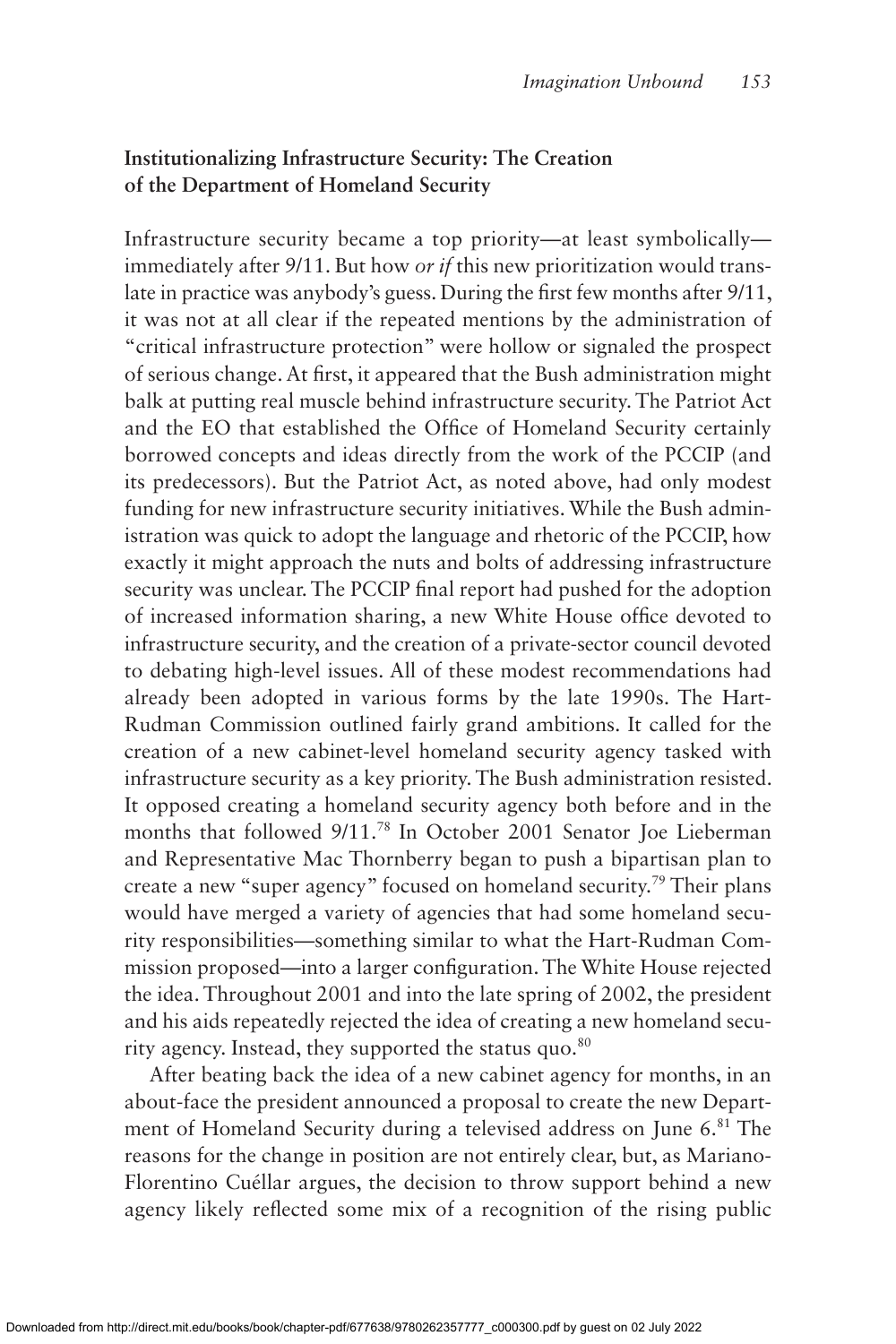#### **Institutionalizing Infrastructure Security: The Creation of the Department of Homeland Security**

Infrastructure security became a top priority—at least symbolically immediately after 9/11. But how *or if* this new prioritization would translate in practice was anybody's guess. During the first few months after 9/11, it was not at all clear if the repeated mentions by the administration of "critical infrastructure protection" were hollow or signaled the prospect of serious change. At first, it appeared that the Bush administration might balk at putting real muscle behind infrastructure security. The Patriot Act and the EO that established the Office of Homeland Security certainly borrowed concepts and ideas directly from the work of the PCCIP (and its predecessors). But the Patriot Act, as noted above, had only modest funding for new infrastructure security initiatives. While the Bush administration was quick to adopt the language and rhetoric of the PCCIP, how exactly it might approach the nuts and bolts of addressing infrastructure security was unclear. The PCCIP final report had pushed for the adoption of increased information sharing, a new White House office devoted to infrastructure security, and the creation of a private-sector council devoted to debating high-level issues. All of these modest recommendations had already been adopted in various forms by the late 1990s. The Hart-Rudman Commission outlined fairly grand ambitions. It called for the creation of a new cabinet-level homeland security agency tasked with infrastructure security as a key priority. The Bush administration resisted. It opposed creating a homeland security agency both before and in the months that followed 9/11.78 In October 2001 Senator Joe Lieberman and Representative Mac Thornberry began to push a bipartisan plan to create a new "super agency" focused on homeland security.79 Their plans would have merged a variety of agencies that had some homeland security responsibilities—something similar to what the Hart-Rudman Commission proposed—into a larger configuration. The White House rejected the idea. Throughout 2001 and into the late spring of 2002, the president and his aids repeatedly rejected the idea of creating a new homeland security agency. Instead, they supported the status quo. $80$ 

After beating back the idea of a new cabinet agency for months, in an about-face the president announced a proposal to create the new Department of Homeland Security during a televised address on June 6.<sup>81</sup> The reasons for the change in position are not entirely clear, but, as Mariano-Florentino Cuéllar argues, the decision to throw support behind a new agency likely reflected some mix of a recognition of the rising public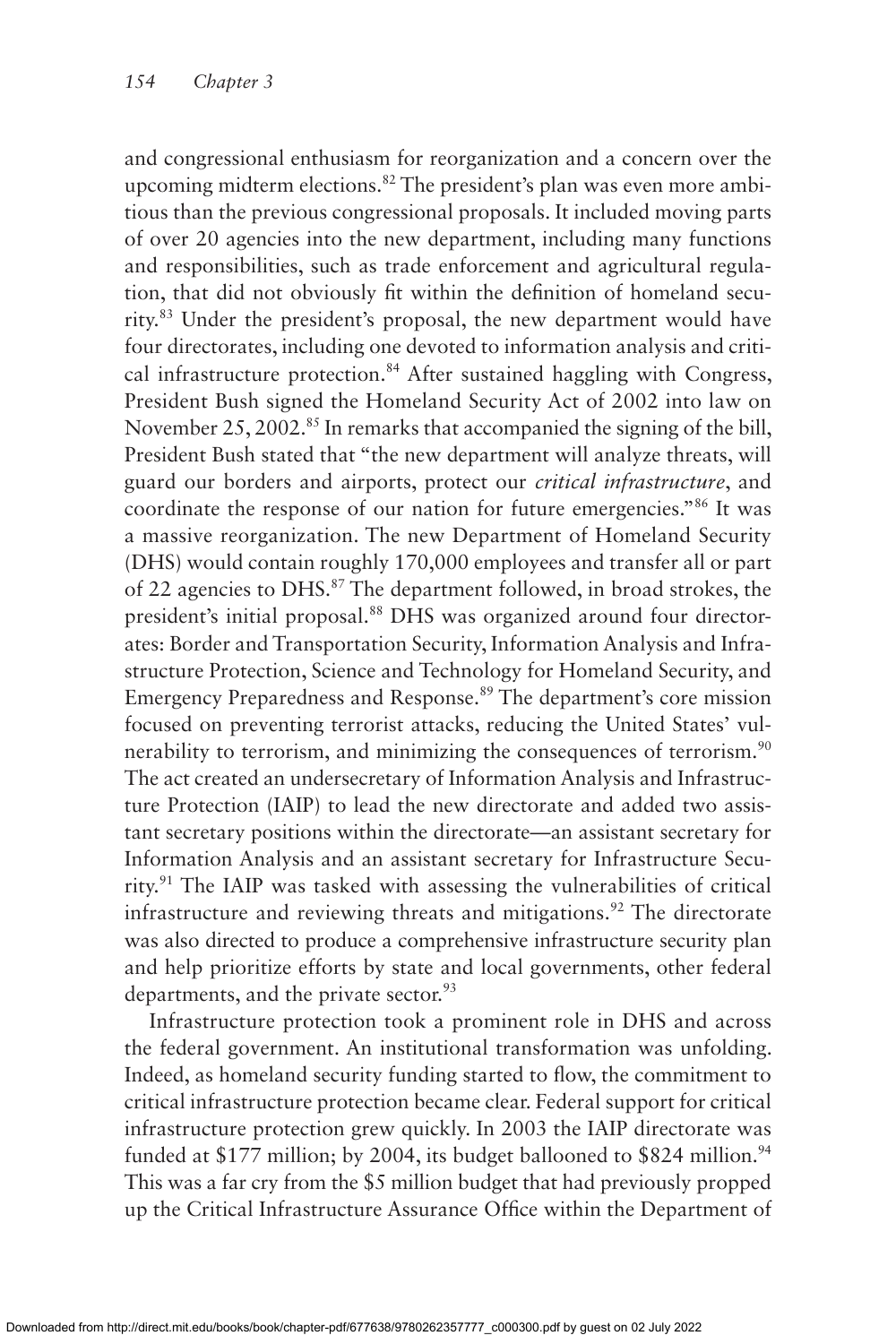and congressional enthusiasm for reorganization and a concern over the upcoming midterm elections.<sup>82</sup> The president's plan was even more ambitious than the previous congressional proposals. It included moving parts of over 20 agencies into the new department, including many functions and responsibilities, such as trade enforcement and agricultural regulation, that did not obviously fit within the definition of homeland security.83 Under the president's proposal, the new department would have four directorates, including one devoted to information analysis and critical infrastructure protection.<sup>84</sup> After sustained haggling with Congress, President Bush signed the Homeland Security Act of 2002 into law on November 25, 2002.<sup>85</sup> In remarks that accompanied the signing of the bill, President Bush stated that "the new department will analyze threats, will guard our borders and airports, protect our *critical infrastructure*, and coordinate the response of our nation for future emergencies."<sup>86</sup> It was a massive reorganization. The new Department of Homeland Security (DHS) would contain roughly 170,000 employees and transfer all or part of 22 agencies to DHS.<sup>87</sup> The department followed, in broad strokes, the president's initial proposal.<sup>88</sup> DHS was organized around four directorates: Border and Transportation Security, Information Analysis and Infrastructure Protection, Science and Technology for Homeland Security, and Emergency Preparedness and Response.<sup>89</sup> The department's core mission focused on preventing terrorist attacks, reducing the United States' vulnerability to terrorism, and minimizing the consequences of terrorism.<sup>90</sup> The act created an undersecretary of Information Analysis and Infrastructure Protection (IAIP) to lead the new directorate and added two assistant secretary positions within the directorate—an assistant secretary for Information Analysis and an assistant secretary for Infrastructure Security.91 The IAIP was tasked with assessing the vulnerabilities of critical infrastructure and reviewing threats and mitigations. $92$  The directorate was also directed to produce a comprehensive infrastructure security plan and help prioritize efforts by state and local governments, other federal departments, and the private sector.<sup>93</sup>

Infrastructure protection took a prominent role in DHS and across the federal government. An institutional transformation was unfolding. Indeed, as homeland security funding started to flow, the commitment to critical infrastructure protection became clear. Federal support for critical infrastructure protection grew quickly. In 2003 the IAIP directorate was funded at \$177 million; by 2004, its budget ballooned to \$824 million.<sup>94</sup> This was a far cry from the \$5 million budget that had previously propped up the Critical Infrastructure Assurance Office within the Department of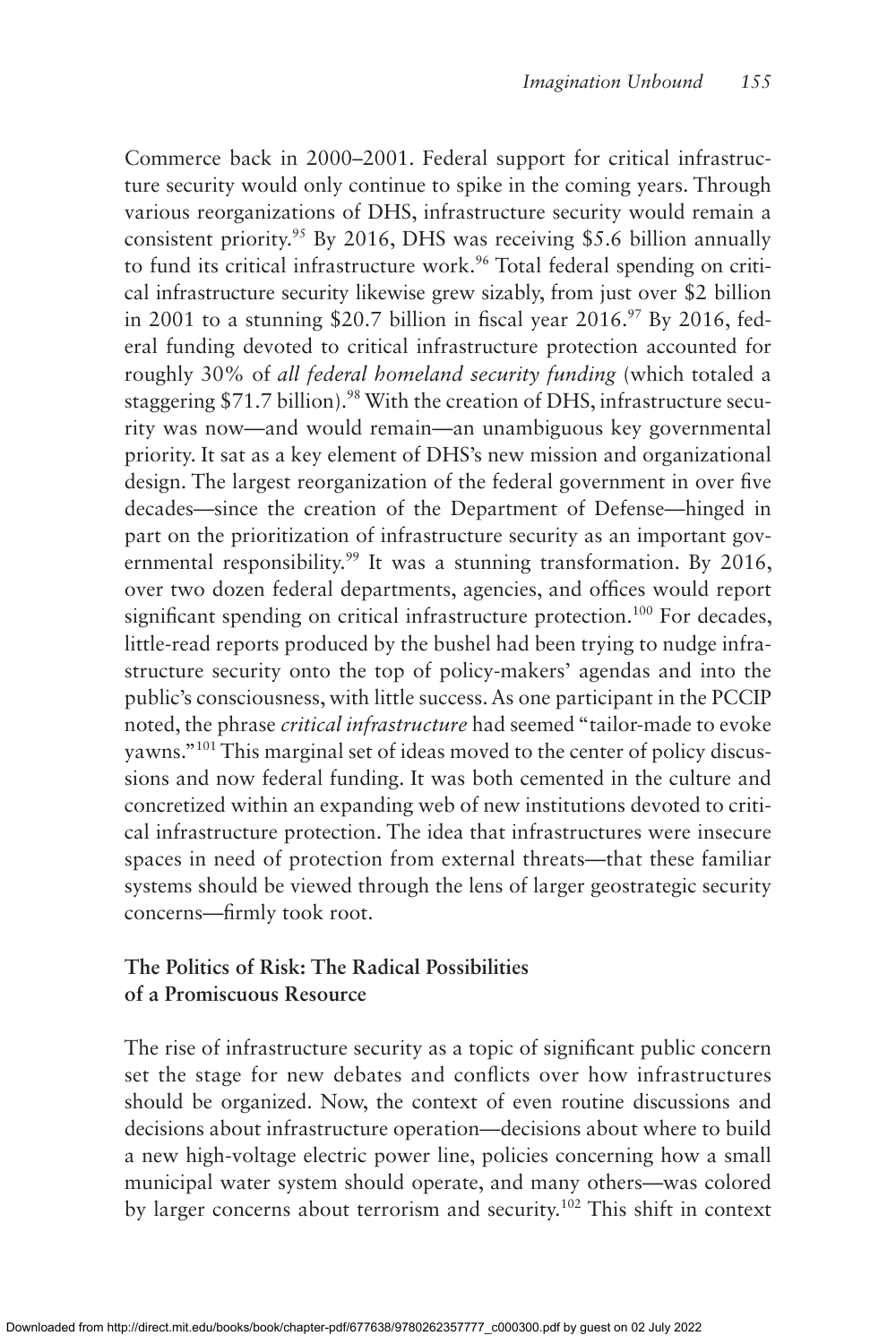Commerce back in 2000–2001. Federal support for critical infrastructure security would only continue to spike in the coming years. Through various reorganizations of DHS, infrastructure security would remain a consistent priority.95 By 2016, DHS was receiving \$5.6 billion annually to fund its critical infrastructure work.<sup>96</sup> Total federal spending on critical infrastructure security likewise grew sizably, from just over \$2 billion in 2001 to a stunning \$20.7 billion in fiscal year  $2016$ .<sup>97</sup> By 2016, federal funding devoted to critical infrastructure protection accounted for roughly 30% of *all federal homeland security funding* (which totaled a staggering \$71.7 billion).<sup>98</sup> With the creation of DHS, infrastructure security was now—and would remain—an unambiguous key governmental priority. It sat as a key element of DHS's new mission and organizational design. The largest reorganization of the federal government in over five decades—since the creation of the Department of Defense—hinged in part on the prioritization of infrastructure security as an important governmental responsibility.<sup>99</sup> It was a stunning transformation. By 2016, over two dozen federal departments, agencies, and offices would report significant spending on critical infrastructure protection.<sup>100</sup> For decades, little-read reports produced by the bushel had been trying to nudge infrastructure security onto the top of policy-makers' agendas and into the public's consciousness, with little success. As one participant in the PCCIP noted, the phrase *critical infrastructure* had seemed "tailor-made to evoke yawns."101 This marginal set of ideas moved to the center of policy discussions and now federal funding. It was both cemented in the culture and concretized within an expanding web of new institutions devoted to critical infrastructure protection. The idea that infrastructures were insecure spaces in need of protection from external threats—that these familiar systems should be viewed through the lens of larger geostrategic security concerns—firmly took root.

#### **The Politics of Risk: The Radical Possibilities of a Promiscuous Resource**

The rise of infrastructure security as a topic of significant public concern set the stage for new debates and conflicts over how infrastructures should be organized. Now, the context of even routine discussions and decisions about infrastructure operation—decisions about where to build a new high-voltage electric power line, policies concerning how a small municipal water system should operate, and many others—was colored by larger concerns about terrorism and security.102 This shift in context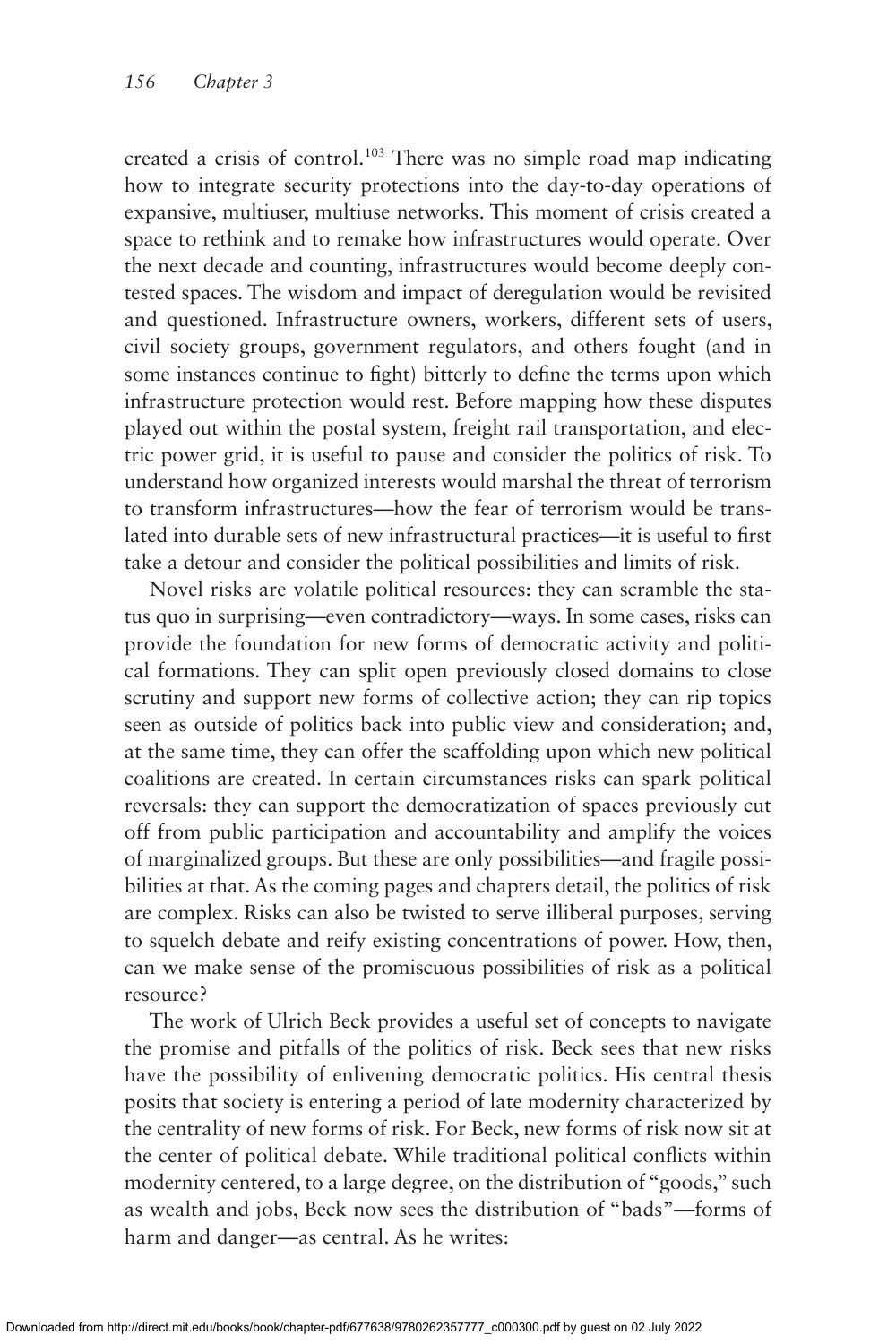created a crisis of control.<sup>103</sup> There was no simple road map indicating how to integrate security protections into the day-to-day operations of expansive, multiuser, multiuse networks. This moment of crisis created a space to rethink and to remake how infrastructures would operate. Over the next decade and counting, infrastructures would become deeply contested spaces. The wisdom and impact of deregulation would be revisited and questioned. Infrastructure owners, workers, different sets of users, civil society groups, government regulators, and others fought (and in some instances continue to fight) bitterly to define the terms upon which infrastructure protection would rest. Before mapping how these disputes played out within the postal system, freight rail transportation, and electric power grid, it is useful to pause and consider the politics of risk. To understand how organized interests would marshal the threat of terrorism to transform infrastructures—how the fear of terrorism would be translated into durable sets of new infrastructural practices—it is useful to first take a detour and consider the political possibilities and limits of risk.

Novel risks are volatile political resources: they can scramble the status quo in surprising—even contradictory—ways. In some cases, risks can provide the foundation for new forms of democratic activity and political formations. They can split open previously closed domains to close scrutiny and support new forms of collective action; they can rip topics seen as outside of politics back into public view and consideration; and, at the same time, they can offer the scaffolding upon which new political coalitions are created. In certain circumstances risks can spark political reversals: they can support the democratization of spaces previously cut off from public participation and accountability and amplify the voices of marginalized groups. But these are only possibilities—and fragile possibilities at that. As the coming pages and chapters detail, the politics of risk are complex. Risks can also be twisted to serve illiberal purposes, serving to squelch debate and reify existing concentrations of power. How, then, can we make sense of the promiscuous possibilities of risk as a political resource?

The work of Ulrich Beck provides a useful set of concepts to navigate the promise and pitfalls of the politics of risk. Beck sees that new risks have the possibility of enlivening democratic politics. His central thesis posits that society is entering a period of late modernity characterized by the centrality of new forms of risk. For Beck, new forms of risk now sit at the center of political debate. While traditional political conflicts within modernity centered, to a large degree, on the distribution of "goods," such as wealth and jobs, Beck now sees the distribution of "bads"—forms of harm and danger—as central. As he writes: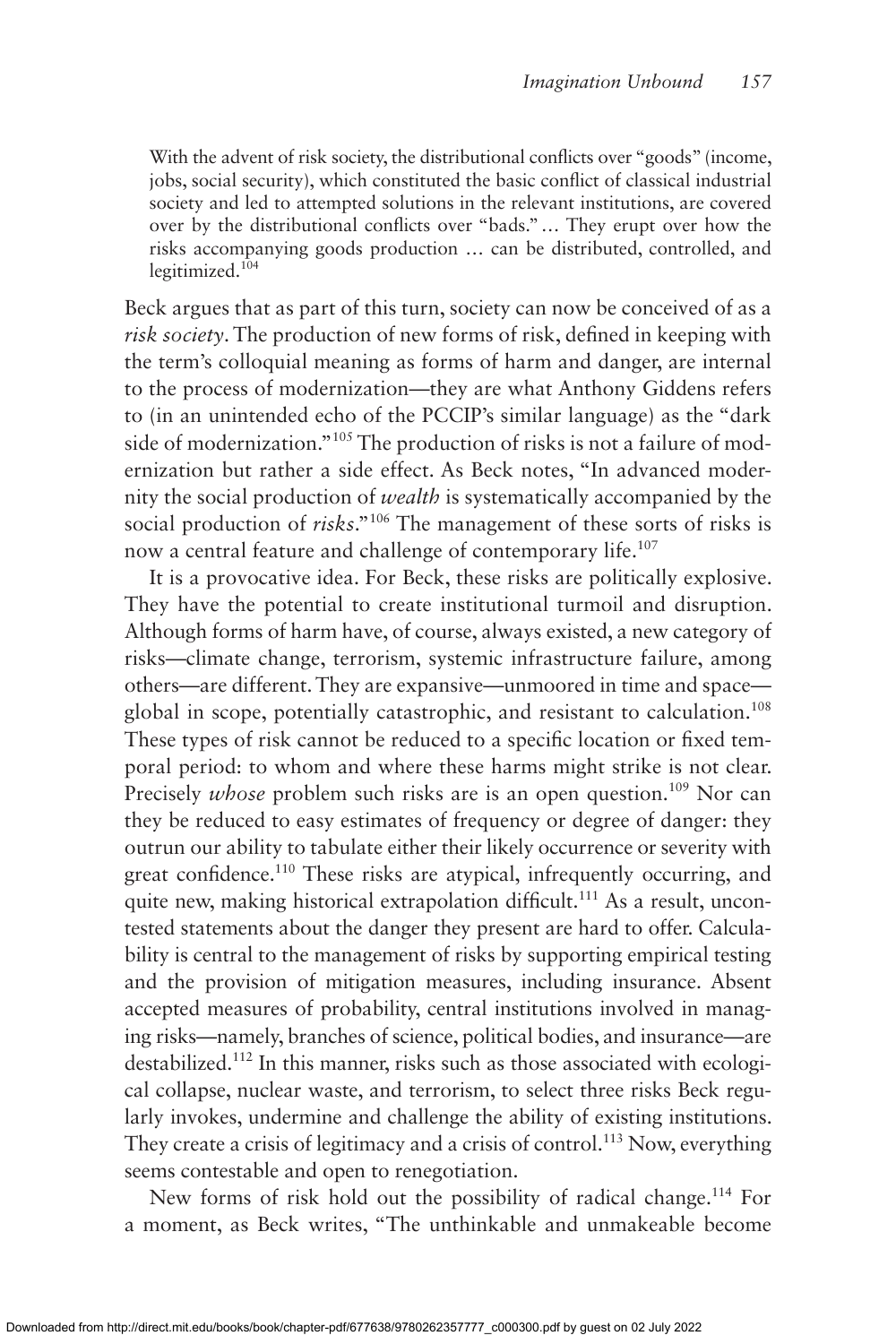With the advent of risk society, the distributional conflicts over "goods" (income, jobs, social security), which constituted the basic conflict of classical industrial society and led to attempted solutions in the relevant institutions, are covered over by the distributional conflicts over "bads."… They erupt over how the risks accompanying goods production … can be distributed, controlled, and legitimized.<sup>104</sup>

Beck argues that as part of this turn, society can now be conceived of as a *risk society*. The production of new forms of risk, defined in keeping with the term's colloquial meaning as forms of harm and danger, are internal to the process of modernization—they are what Anthony Giddens refers to (in an unintended echo of the PCCIP's similar language) as the "dark side of modernization."<sup>105</sup> The production of risks is not a failure of modernization but rather a side effect. As Beck notes, "In advanced modernity the social production of *wealth* is systematically accompanied by the social production of *risks*."106 The management of these sorts of risks is now a central feature and challenge of contemporary life.<sup>107</sup>

It is a provocative idea. For Beck, these risks are politically explosive. They have the potential to create institutional turmoil and disruption. Although forms of harm have, of course, always existed, a new category of risks—climate change, terrorism, systemic infrastructure failure, among others—are different. They are expansive—unmoored in time and space global in scope, potentially catastrophic, and resistant to calculation.<sup>108</sup> These types of risk cannot be reduced to a specific location or fixed temporal period: to whom and where these harms might strike is not clear. Precisely *whose* problem such risks are is an open question.<sup>109</sup> Nor can they be reduced to easy estimates of frequency or degree of danger: they outrun our ability to tabulate either their likely occurrence or severity with great confidence.<sup>110</sup> These risks are atypical, infrequently occurring, and quite new, making historical extrapolation difficult.<sup>111</sup> As a result, uncontested statements about the danger they present are hard to offer. Calculability is central to the management of risks by supporting empirical testing and the provision of mitigation measures, including insurance. Absent accepted measures of probability, central institutions involved in managing risks—namely, branches of science, political bodies, and insurance—are destabilized.112 In this manner, risks such as those associated with ecological collapse, nuclear waste, and terrorism, to select three risks Beck regularly invokes, undermine and challenge the ability of existing institutions. They create a crisis of legitimacy and a crisis of control.<sup>113</sup> Now, everything seems contestable and open to renegotiation.

New forms of risk hold out the possibility of radical change.<sup>114</sup> For a moment, as Beck writes, "The unthinkable and unmakeable become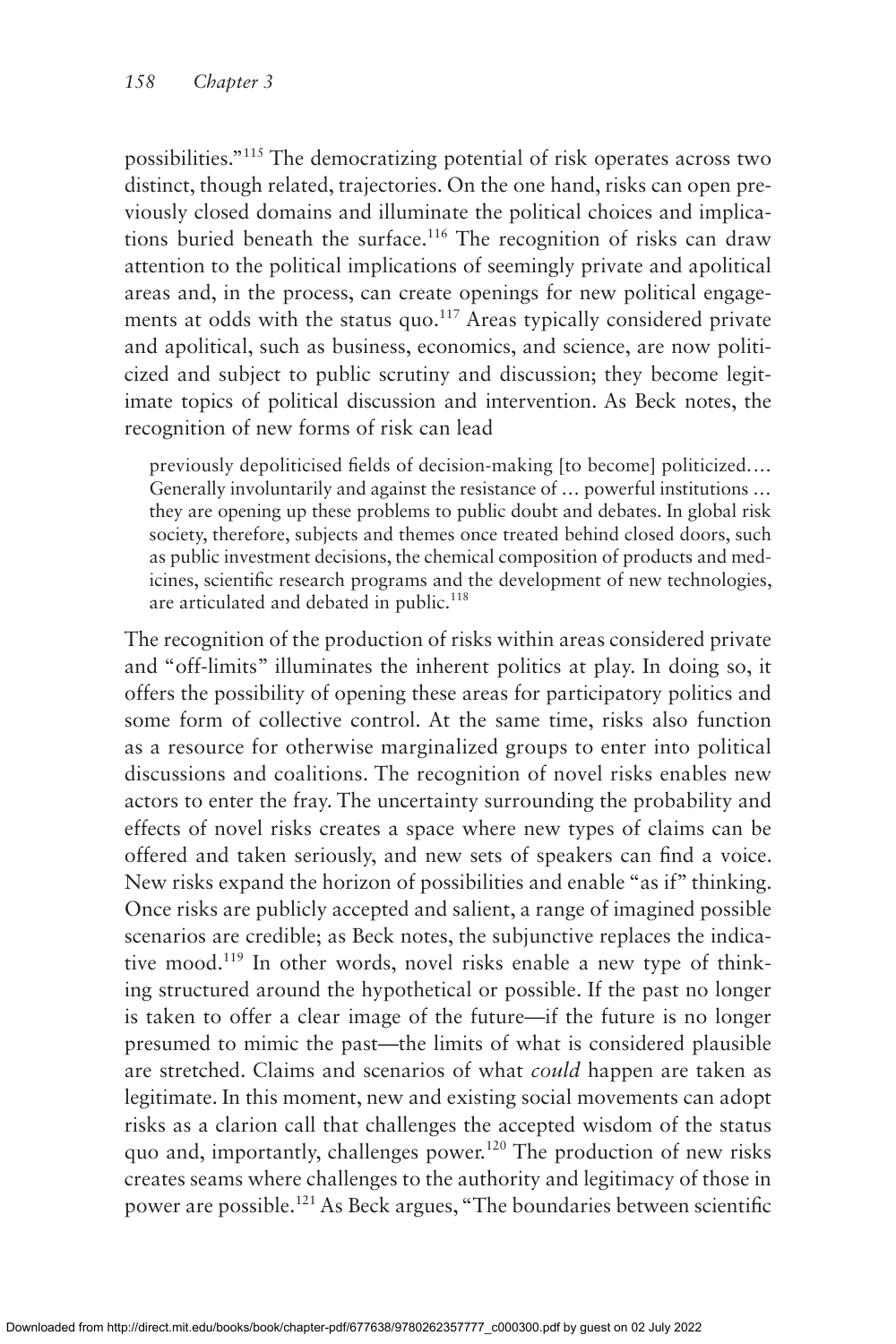possibilities."115 The democratizing potential of risk operates across two distinct, though related, trajectories. On the one hand, risks can open previously closed domains and illuminate the political choices and implications buried beneath the surface.116 The recognition of risks can draw attention to the political implications of seemingly private and apolitical areas and, in the process, can create openings for new political engagements at odds with the status quo.<sup>117</sup> Areas typically considered private and apolitical, such as business, economics, and science, are now politicized and subject to public scrutiny and discussion; they become legitimate topics of political discussion and intervention. As Beck notes, the recognition of new forms of risk can lead

previously depoliticised fields of decision-making [to become] politicized.… Generally involuntarily and against the resistance of … powerful institutions … they are opening up these problems to public doubt and debates. In global risk society, therefore, subjects and themes once treated behind closed doors, such as public investment decisions, the chemical composition of products and medicines, scientific research programs and the development of new technologies, are articulated and debated in public.<sup>118</sup>

The recognition of the production of risks within areas considered private and "off-limits" illuminates the inherent politics at play. In doing so, it offers the possibility of opening these areas for participatory politics and some form of collective control. At the same time, risks also function as a resource for otherwise marginalized groups to enter into political discussions and coalitions. The recognition of novel risks enables new actors to enter the fray. The uncertainty surrounding the probability and effects of novel risks creates a space where new types of claims can be offered and taken seriously, and new sets of speakers can find a voice. New risks expand the horizon of possibilities and enable "as if" thinking. Once risks are publicly accepted and salient, a range of imagined possible scenarios are credible; as Beck notes, the subjunctive replaces the indicative mood.119 In other words, novel risks enable a new type of thinking structured around the hypothetical or possible. If the past no longer is taken to offer a clear image of the future—if the future is no longer presumed to mimic the past—the limits of what is considered plausible are stretched. Claims and scenarios of what *could* happen are taken as legitimate. In this moment, new and existing social movements can adopt risks as a clarion call that challenges the accepted wisdom of the status quo and, importantly, challenges power.<sup>120</sup> The production of new risks creates seams where challenges to the authority and legitimacy of those in power are possible.121 As Beck argues, "The boundaries between scientific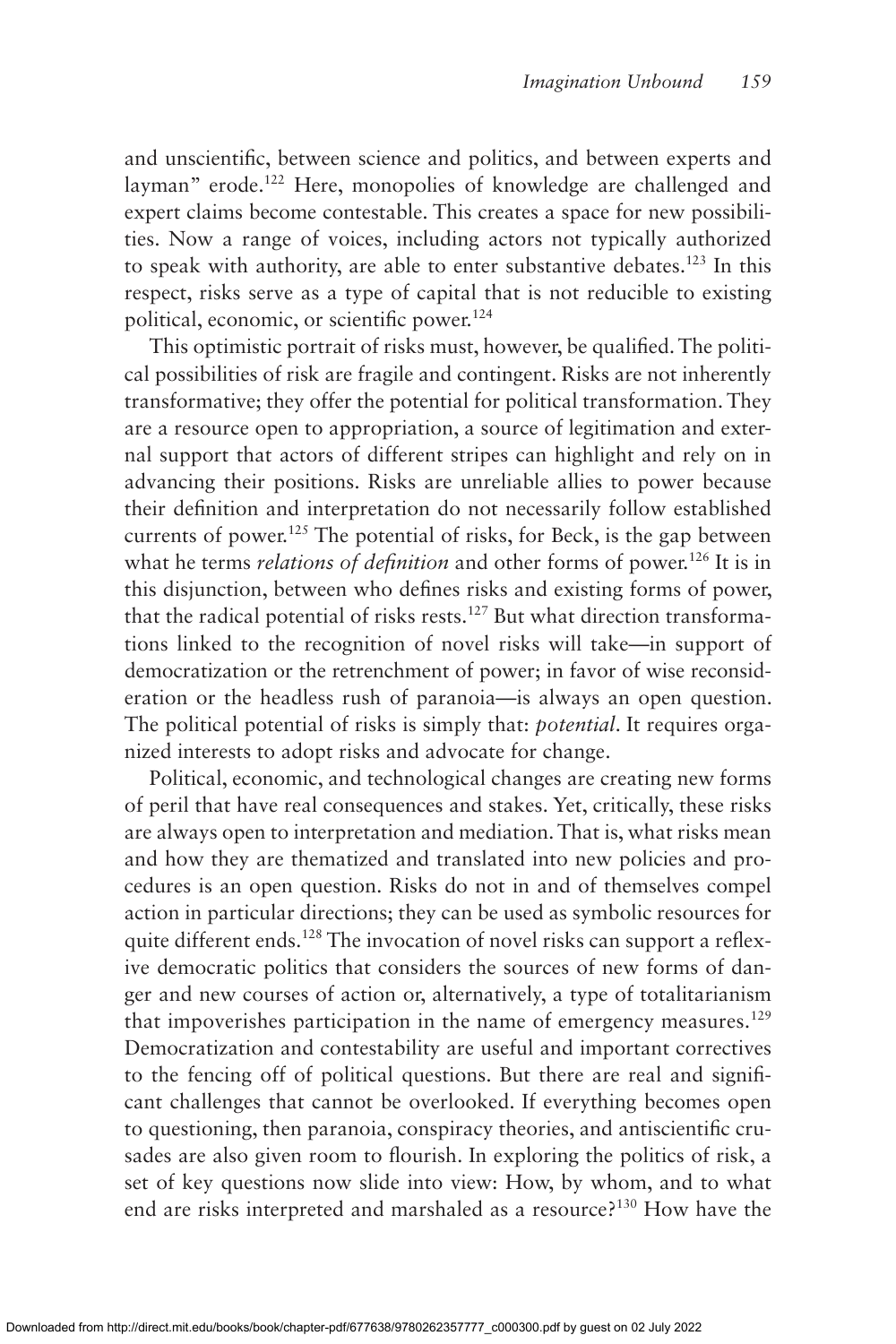and unscientific, between science and politics, and between experts and layman" erode.<sup>122</sup> Here, monopolies of knowledge are challenged and expert claims become contestable. This creates a space for new possibilities. Now a range of voices, including actors not typically authorized to speak with authority, are able to enter substantive debates.<sup>123</sup> In this respect, risks serve as a type of capital that is not reducible to existing political, economic, or scientific power.<sup>124</sup>

This optimistic portrait of risks must, however, be qualified. The political possibilities of risk are fragile and contingent. Risks are not inherently transformative; they offer the potential for political transformation. They are a resource open to appropriation, a source of legitimation and external support that actors of different stripes can highlight and rely on in advancing their positions. Risks are unreliable allies to power because their definition and interpretation do not necessarily follow established currents of power.<sup>125</sup> The potential of risks, for Beck, is the gap between what he terms *relations of definition* and other forms of power.<sup>126</sup> It is in this disjunction, between who defines risks and existing forms of power, that the radical potential of risks rests.<sup>127</sup> But what direction transformations linked to the recognition of novel risks will take—in support of democratization or the retrenchment of power; in favor of wise reconsideration or the headless rush of paranoia—is always an open question. The political potential of risks is simply that: *potential*. It requires organized interests to adopt risks and advocate for change.

Political, economic, and technological changes are creating new forms of peril that have real consequences and stakes. Yet, critically, these risks are always open to interpretation and mediation. That is, what risks mean and how they are thematized and translated into new policies and procedures is an open question. Risks do not in and of themselves compel action in particular directions; they can be used as symbolic resources for quite different ends.<sup>128</sup> The invocation of novel risks can support a reflexive democratic politics that considers the sources of new forms of danger and new courses of action or, alternatively, a type of totalitarianism that impoverishes participation in the name of emergency measures.<sup>129</sup> Democratization and contestability are useful and important correctives to the fencing off of political questions. But there are real and significant challenges that cannot be overlooked. If everything becomes open to questioning, then paranoia, conspiracy theories, and antiscientific crusades are also given room to flourish. In exploring the politics of risk, a set of key questions now slide into view: How, by whom, and to what end are risks interpreted and marshaled as a resource?<sup>130</sup> How have the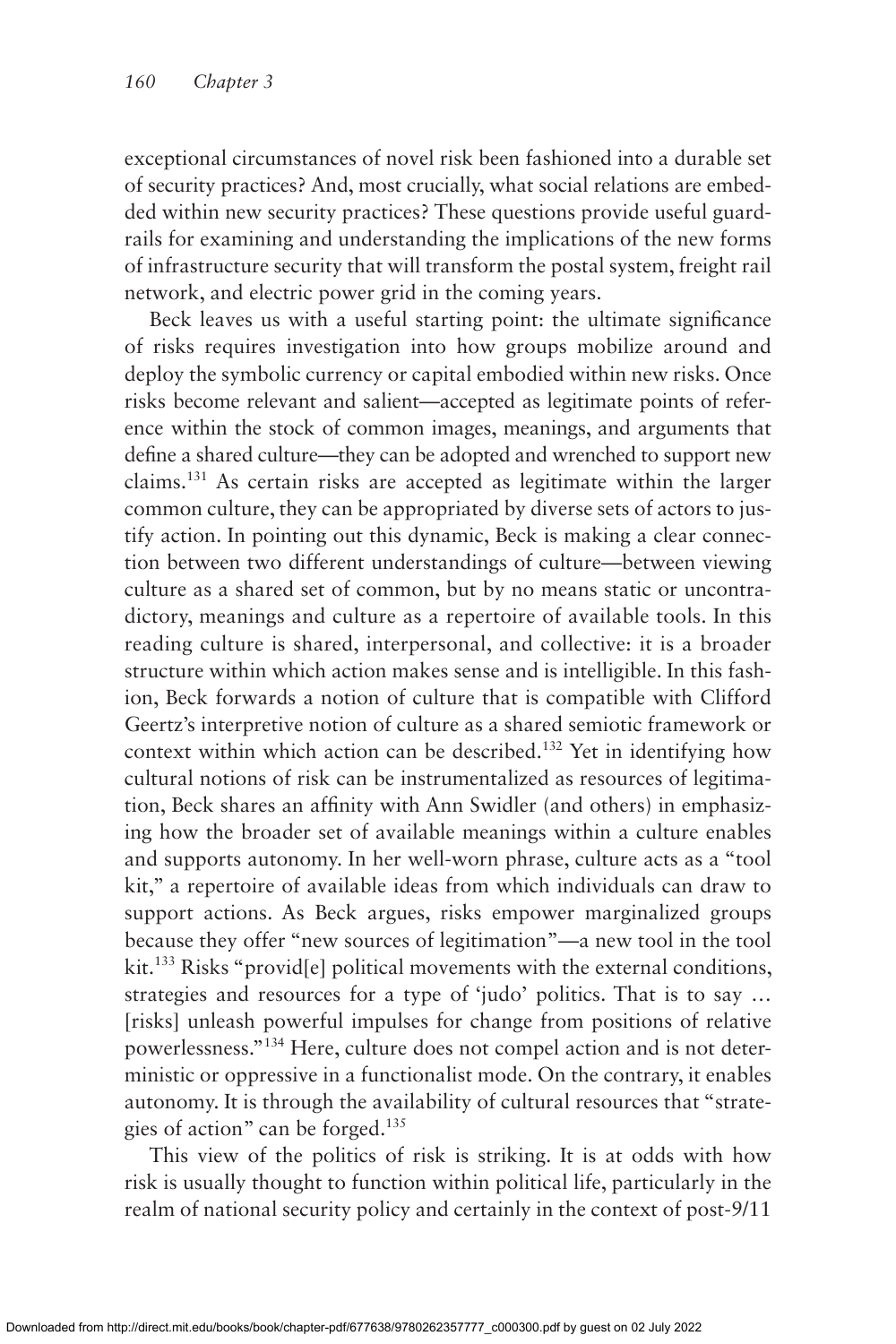exceptional circumstances of novel risk been fashioned into a durable set of security practices? And, most crucially, what social relations are embedded within new security practices? These questions provide useful guardrails for examining and understanding the implications of the new forms of infrastructure security that will transform the postal system, freight rail network, and electric power grid in the coming years.

Beck leaves us with a useful starting point: the ultimate significance of risks requires investigation into how groups mobilize around and deploy the symbolic currency or capital embodied within new risks. Once risks become relevant and salient—accepted as legitimate points of reference within the stock of common images, meanings, and arguments that define a shared culture—they can be adopted and wrenched to support new claims.131 As certain risks are accepted as legitimate within the larger common culture, they can be appropriated by diverse sets of actors to justify action. In pointing out this dynamic, Beck is making a clear connection between two different understandings of culture—between viewing culture as a shared set of common, but by no means static or uncontradictory, meanings and culture as a repertoire of available tools. In this reading culture is shared, interpersonal, and collective: it is a broader structure within which action makes sense and is intelligible. In this fashion, Beck forwards a notion of culture that is compatible with Clifford Geertz's interpretive notion of culture as a shared semiotic framework or context within which action can be described.<sup>132</sup> Yet in identifying how cultural notions of risk can be instrumentalized as resources of legitimation, Beck shares an affinity with Ann Swidler (and others) in emphasizing how the broader set of available meanings within a culture enables and supports autonomy. In her well-worn phrase, culture acts as a "tool kit," a repertoire of available ideas from which individuals can draw to support actions. As Beck argues, risks empower marginalized groups because they offer "new sources of legitimation"—a new tool in the tool kit.133 Risks "provid[e] political movements with the external conditions, strategies and resources for a type of 'judo' politics. That is to say … [risks] unleash powerful impulses for change from positions of relative powerlessness."134 Here, culture does not compel action and is not deterministic or oppressive in a functionalist mode. On the contrary, it enables autonomy. It is through the availability of cultural resources that "strategies of action" can be forged.135

This view of the politics of risk is striking. It is at odds with how risk is usually thought to function within political life, particularly in the realm of national security policy and certainly in the context of post-9/11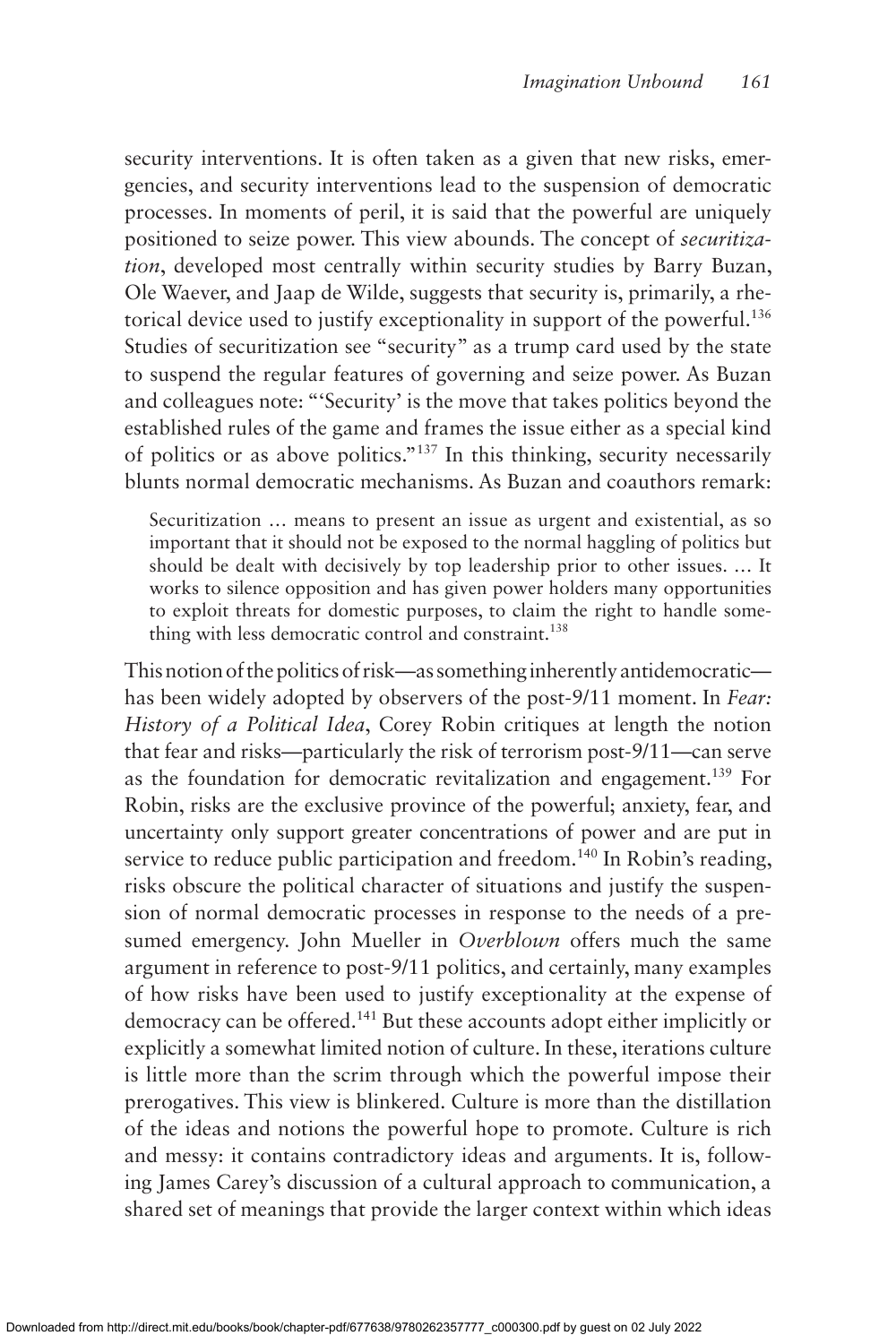security interventions. It is often taken as a given that new risks, emergencies, and security interventions lead to the suspension of democratic processes. In moments of peril, it is said that the powerful are uniquely positioned to seize power. This view abounds. The concept of *securitization*, developed most centrally within security studies by Barry Buzan, Ole Waever, and Jaap de Wilde, suggests that security is, primarily, a rhetorical device used to justify exceptionality in support of the powerful.<sup>136</sup> Studies of securitization see "security" as a trump card used by the state to suspend the regular features of governing and seize power. As Buzan and colleagues note: "'Security' is the move that takes politics beyond the established rules of the game and frames the issue either as a special kind of politics or as above politics."137 In this thinking, security necessarily blunts normal democratic mechanisms. As Buzan and coauthors remark:

Securitization … means to present an issue as urgent and existential, as so important that it should not be exposed to the normal haggling of politics but should be dealt with decisively by top leadership prior to other issues. … It works to silence opposition and has given power holders many opportunities to exploit threats for domestic purposes, to claim the right to handle something with less democratic control and constraint.<sup>138</sup>

This notion of the politics of risk—as something inherently antidemocratic has been widely adopted by observers of the post-9/11 moment. In *Fear: History of a Political Idea*, Corey Robin critiques at length the notion that fear and risks—particularly the risk of terrorism post-9/11—can serve as the foundation for democratic revitalization and engagement.<sup>139</sup> For Robin, risks are the exclusive province of the powerful; anxiety, fear, and uncertainty only support greater concentrations of power and are put in service to reduce public participation and freedom.<sup>140</sup> In Robin's reading, risks obscure the political character of situations and justify the suspension of normal democratic processes in response to the needs of a presumed emergency. John Mueller in *Overblown* offers much the same argument in reference to post-9/11 politics, and certainly, many examples of how risks have been used to justify exceptionality at the expense of democracy can be offered.<sup>141</sup> But these accounts adopt either implicitly or explicitly a somewhat limited notion of culture. In these, iterations culture is little more than the scrim through which the powerful impose their prerogatives. This view is blinkered. Culture is more than the distillation of the ideas and notions the powerful hope to promote. Culture is rich and messy: it contains contradictory ideas and arguments. It is, following James Carey's discussion of a cultural approach to communication, a shared set of meanings that provide the larger context within which ideas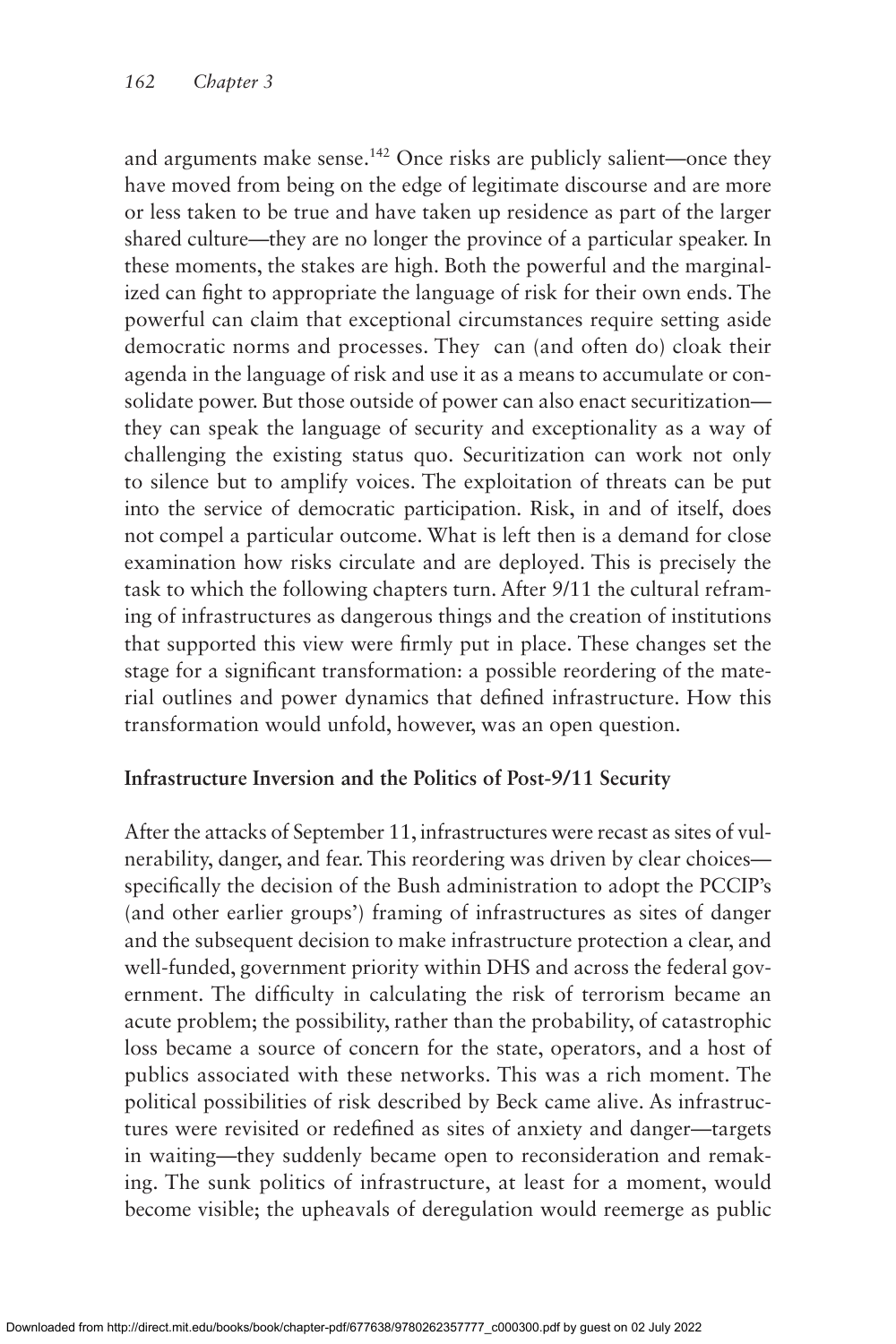and arguments make sense.<sup>142</sup> Once risks are publicly salient—once they have moved from being on the edge of legitimate discourse and are more or less taken to be true and have taken up residence as part of the larger shared culture—they are no longer the province of a particular speaker. In these moments, the stakes are high. Both the powerful and the marginalized can fight to appropriate the language of risk for their own ends. The powerful can claim that exceptional circumstances require setting aside democratic norms and processes. They can (and often do) cloak their agenda in the language of risk and use it as a means to accumulate or consolidate power. But those outside of power can also enact securitization they can speak the language of security and exceptionality as a way of challenging the existing status quo. Securitization can work not only to silence but to amplify voices. The exploitation of threats can be put into the service of democratic participation. Risk, in and of itself, does not compel a particular outcome. What is left then is a demand for close examination how risks circulate and are deployed. This is precisely the task to which the following chapters turn. After 9/11 the cultural reframing of infrastructures as dangerous things and the creation of institutions that supported this view were firmly put in place. These changes set the stage for a significant transformation: a possible reordering of the material outlines and power dynamics that defined infrastructure. How this transformation would unfold, however, was an open question.

#### **Infrastructure Inversion and the Politics of Post-9/11 Security**

After the attacks of September 11, infrastructures were recast as sites of vulnerability, danger, and fear. This reordering was driven by clear choices specifically the decision of the Bush administration to adopt the PCCIP's (and other earlier groups') framing of infrastructures as sites of danger and the subsequent decision to make infrastructure protection a clear, and well-funded, government priority within DHS and across the federal government. The difficulty in calculating the risk of terrorism became an acute problem; the possibility, rather than the probability, of catastrophic loss became a source of concern for the state, operators, and a host of publics associated with these networks. This was a rich moment. The political possibilities of risk described by Beck came alive. As infrastructures were revisited or redefined as sites of anxiety and danger—targets in waiting—they suddenly became open to reconsideration and remaking. The sunk politics of infrastructure, at least for a moment, would become visible; the upheavals of deregulation would reemerge as public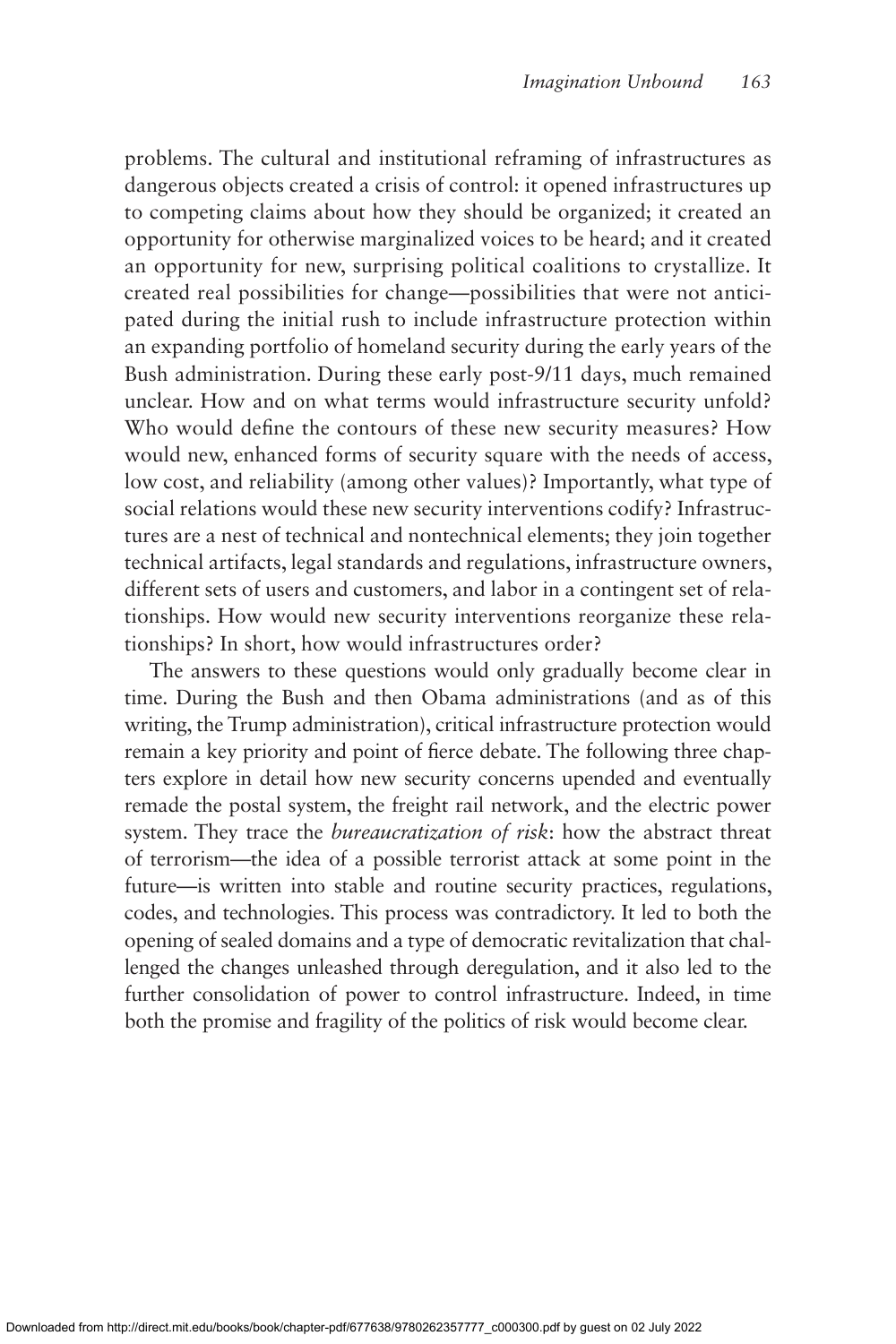problems. The cultural and institutional reframing of infrastructures as dangerous objects created a crisis of control: it opened infrastructures up to competing claims about how they should be organized; it created an opportunity for otherwise marginalized voices to be heard; and it created an opportunity for new, surprising political coalitions to crystallize. It created real possibilities for change—possibilities that were not anticipated during the initial rush to include infrastructure protection within an expanding portfolio of homeland security during the early years of the Bush administration. During these early post-9/11 days, much remained unclear. How and on what terms would infrastructure security unfold? Who would define the contours of these new security measures? How would new, enhanced forms of security square with the needs of access, low cost, and reliability (among other values)? Importantly, what type of social relations would these new security interventions codify? Infrastructures are a nest of technical and nontechnical elements; they join together technical artifacts, legal standards and regulations, infrastructure owners, different sets of users and customers, and labor in a contingent set of relationships. How would new security interventions reorganize these relationships? In short, how would infrastructures order?

The answers to these questions would only gradually become clear in time. During the Bush and then Obama administrations (and as of this writing, the Trump administration), critical infrastructure protection would remain a key priority and point of fierce debate. The following three chapters explore in detail how new security concerns upended and eventually remade the postal system, the freight rail network, and the electric power system. They trace the *bureaucratization of risk*: how the abstract threat of terrorism—the idea of a possible terrorist attack at some point in the future—is written into stable and routine security practices, regulations, codes, and technologies. This process was contradictory. It led to both the opening of sealed domains and a type of democratic revitalization that challenged the changes unleashed through deregulation, and it also led to the further consolidation of power to control infrastructure. Indeed, in time both the promise and fragility of the politics of risk would become clear.